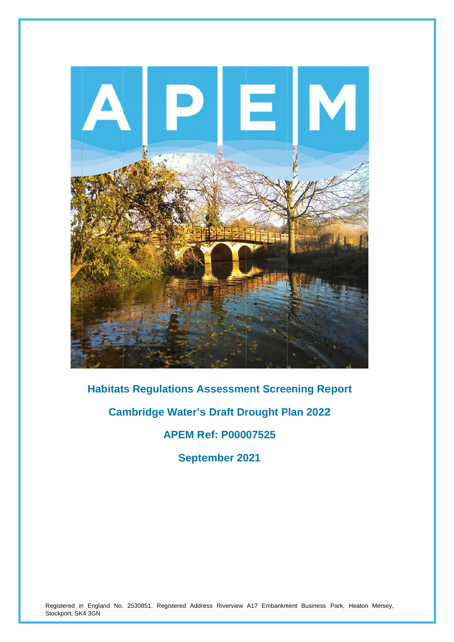

**Habitats Regulations Assessment Screening Report** 

**Cambridge Water's Draft Drought Plan 2022** 

**A APEM R ef: P000 07525** 

**September 2021** 

Registered in England No. 2530851, Registered Address Riverview A17 Embankment Business Park, Heaton Mersey, Stockport, SK4 3GN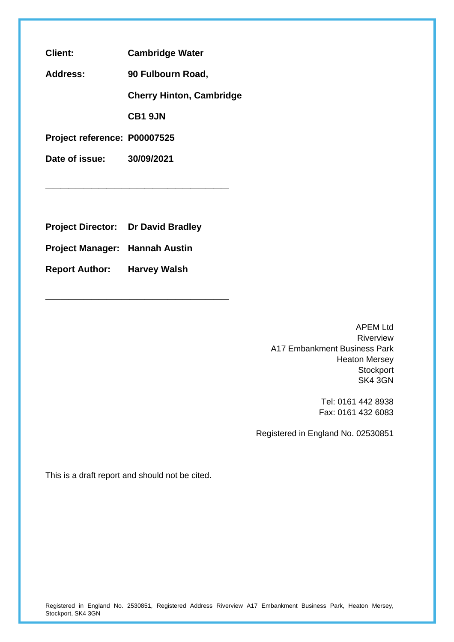**Client: Cambridge Water** 

**Address: 90 Fulbourn Road,** 

**Cherry Hinton, Cambridge** 

**CB1 9JN** 

**\_\_\_\_\_\_\_\_\_\_\_\_\_\_\_\_\_\_\_\_\_\_\_\_** 

**\_\_\_\_\_\_\_\_\_\_\_\_\_\_\_\_\_\_\_\_\_\_\_\_** 

**Project reference: P00007525**

**Date of issue: 30/09/2021**

**Project Director: Dr David Bradley** 

**Project Manager: Hannah Austin**

**Report Author: Harvey Walsh**

APEM Ltd Riverview A17 Embankment Business Park Heaton Mersey **Stockport** SK4 3GN

> Tel: 0161 442 8938 Fax: 0161 432 6083

Registered in England No. 02530851

This is a draft report and should not be cited.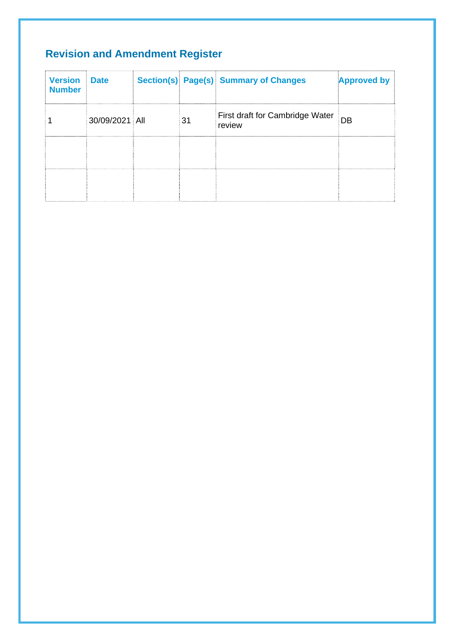# **Revision and Amendment Register**

| <b>Version</b><br><b>Number</b> | <b>Date</b>    |    | Section(s) Page(s) Summary of Changes     | <b>Approved by</b> |
|---------------------------------|----------------|----|-------------------------------------------|--------------------|
|                                 | 30/09/2021 All | 31 | First draft for Cambridge Water<br>review | DB                 |
|                                 |                |    |                                           |                    |
|                                 |                |    |                                           |                    |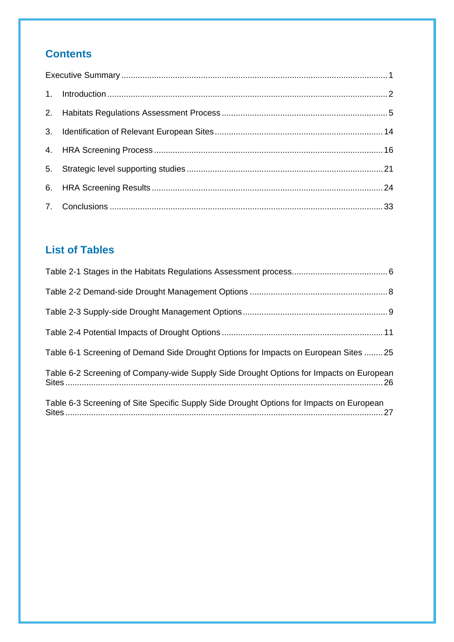## **Contents**

# **List of Tables**

| Table 6-1 Screening of Demand Side Drought Options for Impacts on European Sites  25     |
|------------------------------------------------------------------------------------------|
| Table 6-2 Screening of Company-wide Supply Side Drought Options for Impacts on European  |
| Table 6-3 Screening of Site Specific Supply Side Drought Options for Impacts on European |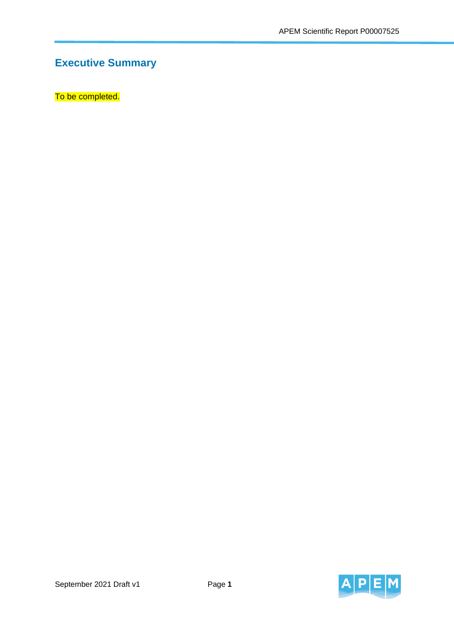# **Executive Summary**

To be completed.

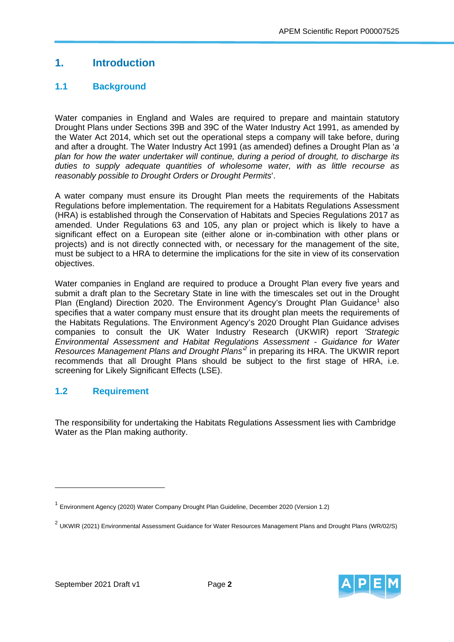## **1. Introduction**

## **1.1 Background**

Water companies in England and Wales are required to prepare and maintain statutory Drought Plans under Sections 39B and 39C of the Water Industry Act 1991, as amended by the Water Act 2014, which set out the operational steps a company will take before, during and after a drought. The Water Industry Act 1991 (as amended) defines a Drought Plan as '*a plan for how the water undertaker will continue, during a period of drought, to discharge its duties to supply adequate quantities of wholesome water, with as little recourse as reasonably possible to Drought Orders or Drought Permits*'.

A water company must ensure its Drought Plan meets the requirements of the Habitats Regulations before implementation. The requirement for a Habitats Regulations Assessment (HRA) is established through the Conservation of Habitats and Species Regulations 2017 as amended. Under Regulations 63 and 105, any plan or project which is likely to have a significant effect on a European site (either alone or in-combination with other plans or projects) and is not directly connected with, or necessary for the management of the site, must be subject to a HRA to determine the implications for the site in view of its conservation objectives.

Water companies in England are required to produce a Drought Plan every five years and submit a draft plan to the Secretary State in line with the timescales set out in the Drought Plan (England) Direction 2020. The Environment Agency's Drought Plan Guidance<sup>1</sup> also specifies that a water company must ensure that its drought plan meets the requirements of the Habitats Regulations. The Environment Agency's 2020 Drought Plan Guidance advises companies to consult the UK Water Industry Research (UKWIR) report *'Strategic Environmental Assessment and Habitat Regulations Assessment - Guidance for Water*  Resources Management Plans and Drought Plans<sup>2</sup> in preparing its HRA. The UKWIR report recommends that all Drought Plans should be subject to the first stage of HRA, i.e. screening for Likely Significant Effects (LSE).

## **1.2 Requirement**

The responsibility for undertaking the Habitats Regulations Assessment lies with Cambridge Water as the Plan making authority.



<sup>1</sup> Environment Agency (2020) Water Company Drought Plan Guideline, December 2020 (Version 1.2)

<sup>&</sup>lt;sup>2</sup> UKWIR (2021) Environmental Assessment Guidance for Water Resources Management Plans and Drought Plans (WR/02/S)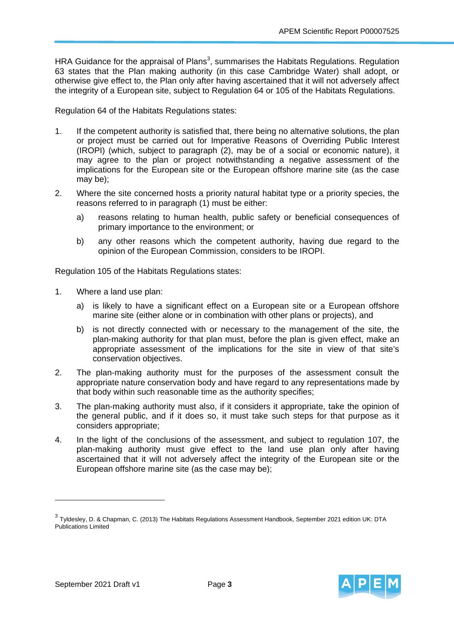HRA Guidance for the appraisal of Plans<sup>3</sup>, summarises the Habitats Regulations. Regulation 63 states that the Plan making authority (in this case Cambridge Water) shall adopt, or otherwise give effect to, the Plan only after having ascertained that it will not adversely affect the integrity of a European site, subject to Regulation 64 or 105 of the Habitats Regulations.

Regulation 64 of the Habitats Regulations states:

- 1. If the competent authority is satisfied that, there being no alternative solutions, the plan or project must be carried out for Imperative Reasons of Overriding Public Interest (IROPI) (which, subject to paragraph (2), may be of a social or economic nature), it may agree to the plan or project notwithstanding a negative assessment of the implications for the European site or the European offshore marine site (as the case may be);
- 2. Where the site concerned hosts a priority natural habitat type or a priority species, the reasons referred to in paragraph (1) must be either:
	- a) reasons relating to human health, public safety or beneficial consequences of primary importance to the environment; or
	- b) any other reasons which the competent authority, having due regard to the opinion of the European Commission, considers to be IROPI.

Regulation 105 of the Habitats Regulations states:

- 1. Where a land use plan:
	- a) is likely to have a significant effect on a European site or a European offshore marine site (either alone or in combination with other plans or projects), and
	- b) is not directly connected with or necessary to the management of the site, the plan-making authority for that plan must, before the plan is given effect, make an appropriate assessment of the implications for the site in view of that site's conservation objectives.
- 2. The plan-making authority must for the purposes of the assessment consult the appropriate nature conservation body and have regard to any representations made by that body within such reasonable time as the authority specifies;
- 3. The plan-making authority must also, if it considers it appropriate, take the opinion of the general public, and if it does so, it must take such steps for that purpose as it considers appropriate;
- 4. In the light of the conclusions of the assessment, and subject to regulation 107, the plan-making authority must give effect to the land use plan only after having ascertained that it will not adversely affect the integrity of the European site or the European offshore marine site (as the case may be);

<sup>&</sup>lt;sup>3</sup> Tyldesley, D. & Chapman, C. (2013) The Habitats Regulations Assessment Handbook, September 2021 edition UK: DTA Publications Limited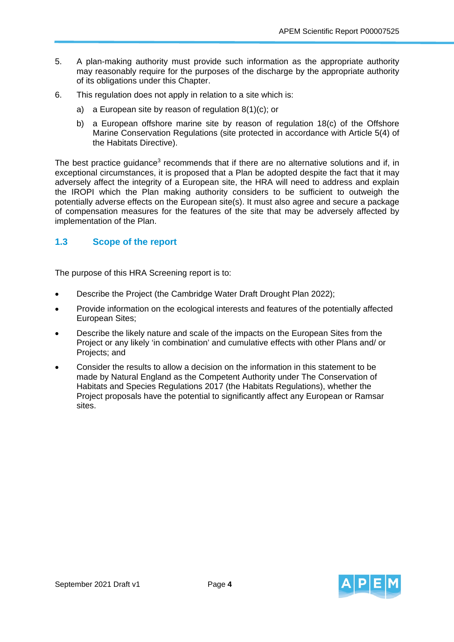- 5. A plan-making authority must provide such information as the appropriate authority may reasonably require for the purposes of the discharge by the appropriate authority of its obligations under this Chapter.
- 6. This regulation does not apply in relation to a site which is:
	- a) a European site by reason of regulation 8(1)(c); or
	- b) a European offshore marine site by reason of regulation 18(c) of the Offshore Marine Conservation Regulations (site protected in accordance with Article 5(4) of the Habitats Directive).

The best practice guidance<sup>3</sup> recommends that if there are no alternative solutions and if, in exceptional circumstances, it is proposed that a Plan be adopted despite the fact that it may adversely affect the integrity of a European site, the HRA will need to address and explain the IROPI which the Plan making authority considers to be sufficient to outweigh the potentially adverse effects on the European site(s). It must also agree and secure a package of compensation measures for the features of the site that may be adversely affected by implementation of the Plan.

## **1.3 Scope of the report**

The purpose of this HRA Screening report is to:

- Describe the Project (the Cambridge Water Draft Drought Plan 2022);
- Provide information on the ecological interests and features of the potentially affected European Sites;
- Describe the likely nature and scale of the impacts on the European Sites from the Project or any likely 'in combination' and cumulative effects with other Plans and/ or Projects; and
- Consider the results to allow a decision on the information in this statement to be made by Natural England as the Competent Authority under The Conservation of Habitats and Species Regulations 2017 (the Habitats Regulations), whether the Project proposals have the potential to significantly affect any European or Ramsar sites.

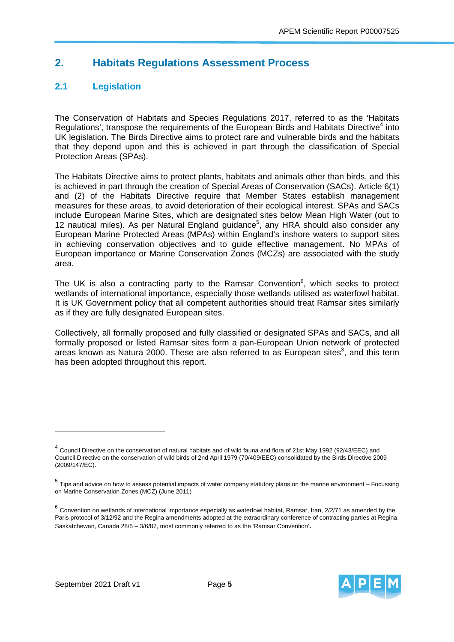## **2. Habitats Regulations Assessment Process**

## **2.1 Legislation**

The Conservation of Habitats and Species Regulations 2017, referred to as the 'Habitats Regulations', transpose the requirements of the European Birds and Habitats Directive<sup>4</sup> into UK legislation. The Birds Directive aims to protect rare and vulnerable birds and the habitats that they depend upon and this is achieved in part through the classification of Special Protection Areas (SPAs).

The Habitats Directive aims to protect plants, habitats and animals other than birds, and this is achieved in part through the creation of Special Areas of Conservation (SACs). Article 6(1) and (2) of the Habitats Directive require that Member States establish management measures for these areas, to avoid deterioration of their ecological interest. SPAs and SACs include European Marine Sites, which are designated sites below Mean High Water (out to 12 nautical miles). As per Natural England guidance<sup>5</sup>, any HRA should also consider any European Marine Protected Areas (MPAs) within England's inshore waters to support sites in achieving conservation objectives and to guide effective management. No MPAs of European importance or Marine Conservation Zones (MCZs) are associated with the study area.

The UK is also a contracting party to the Ramsar Convention $6$ , which seeks to protect wetlands of international importance, especially those wetlands utilised as waterfowl habitat. It is UK Government policy that all competent authorities should treat Ramsar sites similarly as if they are fully designated European sites.

Collectively, all formally proposed and fully classified or designated SPAs and SACs, and all formally proposed or listed Ramsar sites form a pan-European Union network of protected areas known as Natura 2000. These are also referred to as European sites<sup>3</sup>, and this term has been adopted throughout this report.

 $\overline{a}$ 



 $^4$  Council Directive on the conservation of natural habitats and of wild fauna and flora of 21st May 1992 (92/43/EEC) and Council Directive on the conservation of wild birds of 2nd April 1979 (70/409/EEC) consolidated by the Birds Directive 2009 (2009/147/EC).

<sup>5</sup> Tips and advice on how to assess potential impacts of water company statutory plans on the marine environment – Focussing on Marine Conservation Zones (MCZ) (June 2011)

 $6$  Convention on wetlands of international importance especially as waterfowl habitat, Ramsar, Iran, 2/2/71 as amended by the Paris protocol of 3/12/92 and the Regina amendments adopted at the extraordinary conference of contracting parties at Regina, Saskatchewan, Canada 28/5 – 3/6/87, most commonly referred to as the 'Ramsar Convention'.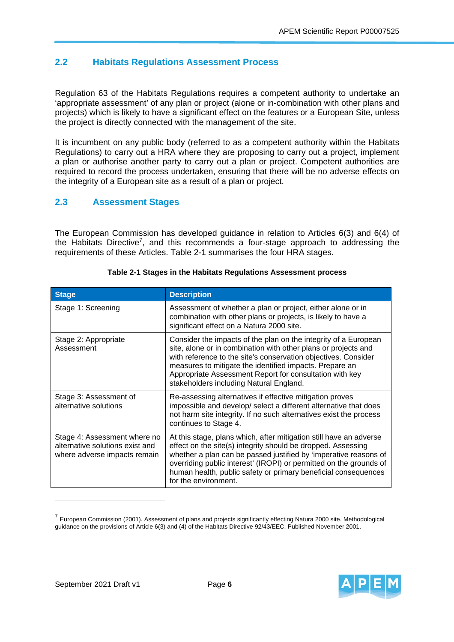## **2.2 Habitats Regulations Assessment Process**

Regulation 63 of the Habitats Regulations requires a competent authority to undertake an 'appropriate assessment' of any plan or project (alone or in-combination with other plans and projects) which is likely to have a significant effect on the features or a European Site, unless the project is directly connected with the management of the site.

It is incumbent on any public body (referred to as a competent authority within the Habitats Regulations) to carry out a HRA where they are proposing to carry out a project, implement a plan or authorise another party to carry out a plan or project. Competent authorities are required to record the process undertaken, ensuring that there will be no adverse effects on the integrity of a European site as a result of a plan or project.

## **2.3 Assessment Stages**

The European Commission has developed guidance in relation to Articles 6(3) and 6(4) of the Habitats Directive<sup>7</sup>, and this recommends a four-stage approach to addressing the requirements of these Articles. Table 2-1 summarises the four HRA stages.

| <b>Stage</b>                                                                                    | <b>Description</b>                                                                                                                                                                                                                                                                                                                                                     |
|-------------------------------------------------------------------------------------------------|------------------------------------------------------------------------------------------------------------------------------------------------------------------------------------------------------------------------------------------------------------------------------------------------------------------------------------------------------------------------|
| Stage 1: Screening                                                                              | Assessment of whether a plan or project, either alone or in<br>combination with other plans or projects, is likely to have a<br>significant effect on a Natura 2000 site.                                                                                                                                                                                              |
| Stage 2: Appropriate<br>Assessment                                                              | Consider the impacts of the plan on the integrity of a European<br>site, alone or in combination with other plans or projects and<br>with reference to the site's conservation objectives. Consider<br>measures to mitigate the identified impacts. Prepare an<br>Appropriate Assessment Report for consultation with key<br>stakeholders including Natural England.   |
| Stage 3: Assessment of<br>alternative solutions                                                 | Re-assessing alternatives if effective mitigation proves<br>impossible and develop/ select a different alternative that does<br>not harm site integrity. If no such alternatives exist the process<br>continues to Stage 4.                                                                                                                                            |
| Stage 4: Assessment where no<br>alternative solutions exist and<br>where adverse impacts remain | At this stage, plans which, after mitigation still have an adverse<br>effect on the site(s) integrity should be dropped. Assessing<br>whether a plan can be passed justified by 'imperative reasons of<br>overriding public interest' (IROPI) or permitted on the grounds of<br>human health, public safety or primary beneficial consequences<br>for the environment. |

#### **Table 2-1 Stages in the Habitats Regulations Assessment process**



 $<sup>7</sup>$  European Commission (2001). Assessment of plans and projects significantly effecting Natura 2000 site. Methodological</sup> guidance on the provisions of Article 6(3) and (4) of the Habitats Directive 92/43/EEC. Published November 2001.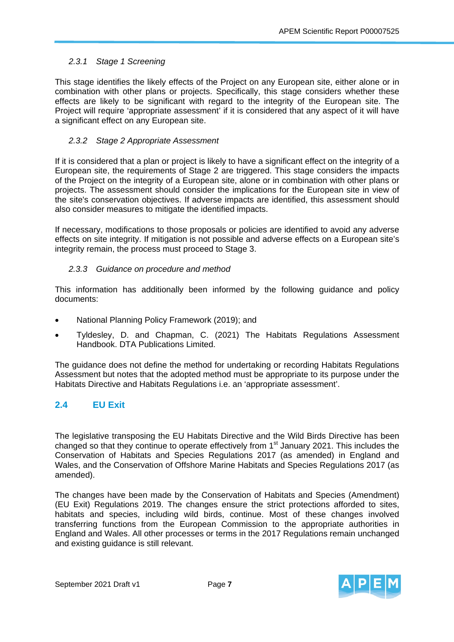#### *2.3.1 Stage 1 Screening*

This stage identifies the likely effects of the Project on any European site, either alone or in combination with other plans or projects. Specifically, this stage considers whether these effects are likely to be significant with regard to the integrity of the European site. The Project will require 'appropriate assessment' if it is considered that any aspect of it will have a significant effect on any European site.

#### *2.3.2 Stage 2 Appropriate Assessment*

If it is considered that a plan or project is likely to have a significant effect on the integrity of a European site, the requirements of Stage 2 are triggered. This stage considers the impacts of the Project on the integrity of a European site, alone or in combination with other plans or projects. The assessment should consider the implications for the European site in view of the site's conservation objectives. If adverse impacts are identified, this assessment should also consider measures to mitigate the identified impacts.

If necessary, modifications to those proposals or policies are identified to avoid any adverse effects on site integrity. If mitigation is not possible and adverse effects on a European site's integrity remain, the process must proceed to Stage 3.

#### *2.3.3 Guidance on procedure and method*

This information has additionally been informed by the following guidance and policy documents:

- National Planning Policy Framework (2019); and
- Tyldesley, D. and Chapman, C. (2021) The Habitats Regulations Assessment Handbook. DTA Publications Limited.

The guidance does not define the method for undertaking or recording Habitats Regulations Assessment but notes that the adopted method must be appropriate to its purpose under the Habitats Directive and Habitats Regulations i.e. an 'appropriate assessment'.

### **2.4 EU Exit**

The legislative transposing the EU Habitats Directive and the Wild Birds Directive has been changed so that they continue to operate effectively from  $1<sup>st</sup>$  January 2021. This includes the Conservation of Habitats and Species Regulations 2017 (as amended) in England and Wales, and the Conservation of Offshore Marine Habitats and Species Regulations 2017 (as amended).

The changes have been made by the Conservation of Habitats and Species (Amendment) (EU Exit) Regulations 2019. The changes ensure the strict protections afforded to sites, habitats and species, including wild birds, continue. Most of these changes involved transferring functions from the European Commission to the appropriate authorities in England and Wales. All other processes or terms in the 2017 Regulations remain unchanged and existing guidance is still relevant.

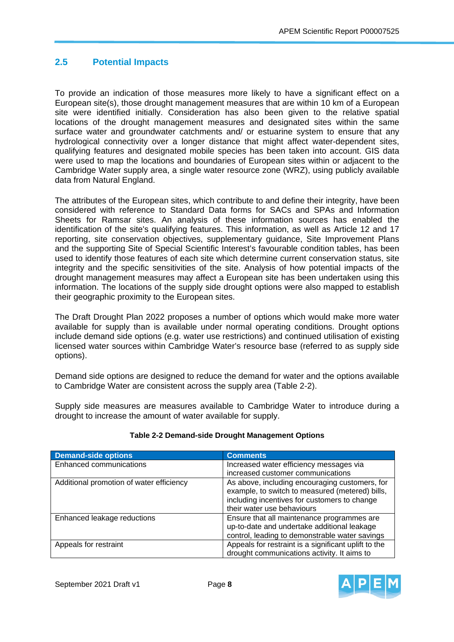## **2.5 Potential Impacts**

To provide an indication of those measures more likely to have a significant effect on a European site(s), those drought management measures that are within 10 km of a European site were identified initially. Consideration has also been given to the relative spatial locations of the drought management measures and designated sites within the same surface water and groundwater catchments and/ or estuarine system to ensure that any hydrological connectivity over a longer distance that might affect water-dependent sites, qualifying features and designated mobile species has been taken into account. GIS data were used to map the locations and boundaries of European sites within or adjacent to the Cambridge Water supply area, a single water resource zone (WRZ), using publicly available data from Natural England.

The attributes of the European sites, which contribute to and define their integrity, have been considered with reference to Standard Data forms for SACs and SPAs and Information Sheets for Ramsar sites. An analysis of these information sources has enabled the identification of the site's qualifying features. This information, as well as Article 12 and 17 reporting, site conservation objectives, supplementary guidance, Site Improvement Plans and the supporting Site of Special Scientific Interest's favourable condition tables, has been used to identify those features of each site which determine current conservation status, site integrity and the specific sensitivities of the site. Analysis of how potential impacts of the drought management measures may affect a European site has been undertaken using this information. The locations of the supply side drought options were also mapped to establish their geographic proximity to the European sites.

The Draft Drought Plan 2022 proposes a number of options which would make more water available for supply than is available under normal operating conditions. Drought options include demand side options (e.g. water use restrictions) and continued utilisation of existing licensed water sources within Cambridge Water's resource base (referred to as supply side options).

Demand side options are designed to reduce the demand for water and the options available to Cambridge Water are consistent across the supply area (Table 2-2).

Supply side measures are measures available to Cambridge Water to introduce during a drought to increase the amount of water available for supply.

| <b>Demand-side options</b>               | <b>Comments</b>                                      |
|------------------------------------------|------------------------------------------------------|
| Enhanced communications                  | Increased water efficiency messages via              |
|                                          | increased customer communications                    |
| Additional promotion of water efficiency | As above, including encouraging customers, for       |
|                                          | example, to switch to measured (metered) bills,      |
|                                          | including incentives for customers to change         |
|                                          | their water use behaviours                           |
| Enhanced leakage reductions              | Ensure that all maintenance programmes are           |
|                                          | up-to-date and undertake additional leakage          |
|                                          | control, leading to demonstrable water savings       |
| Appeals for restraint                    | Appeals for restraint is a significant uplift to the |
|                                          | drought communications activity. It aims to          |

### **Table 2-2 Demand-side Drought Management Options**

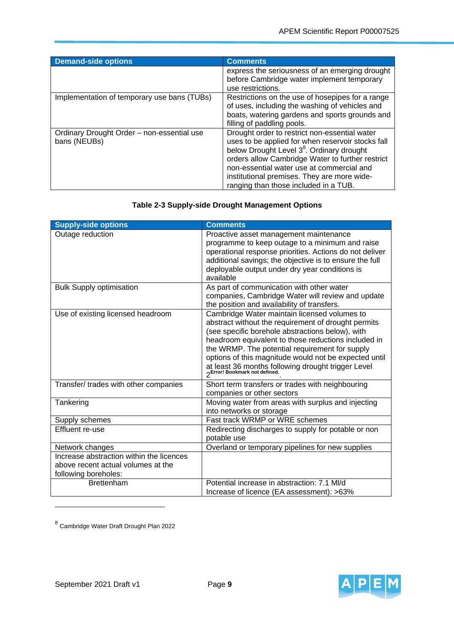| <b>Demand-side options</b>                                 | <b>Comments</b>                                                                                                                                                                                                                                                                                                                                      |
|------------------------------------------------------------|------------------------------------------------------------------------------------------------------------------------------------------------------------------------------------------------------------------------------------------------------------------------------------------------------------------------------------------------------|
|                                                            | express the seriousness of an emerging drought<br>before Cambridge water implement temporary<br>use restrictions.                                                                                                                                                                                                                                    |
| Implementation of temporary use bans (TUBs)                | Restrictions on the use of hosepipes for a range<br>of uses, including the washing of vehicles and<br>boats, watering gardens and sports grounds and<br>filling of paddling pools.                                                                                                                                                                   |
| Ordinary Drought Order - non-essential use<br>bans (NEUBs) | Drought order to restrict non-essential water<br>uses to be applied for when reservoir stocks fall<br>below Drought Level 3 <sup>8</sup> . Ordinary drought<br>orders allow Cambridge Water to further restrict<br>non-essential water use at commercial and<br>institutional premises. They are more wide-<br>ranging than those included in a TUB. |

### **Table 2-3 Supply-side Drought Management Options**

| <b>Supply-side options</b>                                                                             | <b>Comments</b>                                                                                                                                                                                                                                                                                                                                                                 |
|--------------------------------------------------------------------------------------------------------|---------------------------------------------------------------------------------------------------------------------------------------------------------------------------------------------------------------------------------------------------------------------------------------------------------------------------------------------------------------------------------|
| Outage reduction                                                                                       | Proactive asset management maintenance<br>programme to keep outage to a minimum and raise<br>operational response priorities. Actions do not deliver<br>additional savings; the objective is to ensure the full<br>deployable output under dry year conditions is<br>available                                                                                                  |
| <b>Bulk Supply optimisation</b>                                                                        | As part of communication with other water<br>companies, Cambridge Water will review and update<br>the position and availability of transfers.                                                                                                                                                                                                                                   |
| Use of existing licensed headroom                                                                      | Cambridge Water maintain licensed volumes to<br>abstract without the requirement of drought permits<br>(see specific borehole abstractions below), with<br>headroom equivalent to those reductions included in<br>the WRMP. The potential requirement for supply<br>options of this magnitude would not be expected until<br>at least 36 months following drought trigger Level |
| Transfer/ trades with other companies                                                                  | Short term transfers or trades with neighbouring<br>companies or other sectors                                                                                                                                                                                                                                                                                                  |
| Tankering                                                                                              | Moving water from areas with surplus and injecting<br>into networks or storage                                                                                                                                                                                                                                                                                                  |
| Supply schemes                                                                                         | Fast track WRMP or WRE schemes                                                                                                                                                                                                                                                                                                                                                  |
| Effluent re-use                                                                                        | Redirecting discharges to supply for potable or non<br>potable use                                                                                                                                                                                                                                                                                                              |
| Network changes                                                                                        | Overland or temporary pipelines for new supplies                                                                                                                                                                                                                                                                                                                                |
| Increase abstraction within the licences<br>above recent actual volumes at the<br>following boreholes: |                                                                                                                                                                                                                                                                                                                                                                                 |
| <b>Brettenham</b>                                                                                      | Potential increase in abstraction: 7.1 MI/d                                                                                                                                                                                                                                                                                                                                     |
|                                                                                                        | Increase of licence (EA assessment): >63%                                                                                                                                                                                                                                                                                                                                       |

<sup>8</sup> Cambridge Water Draft Drought Plan 2022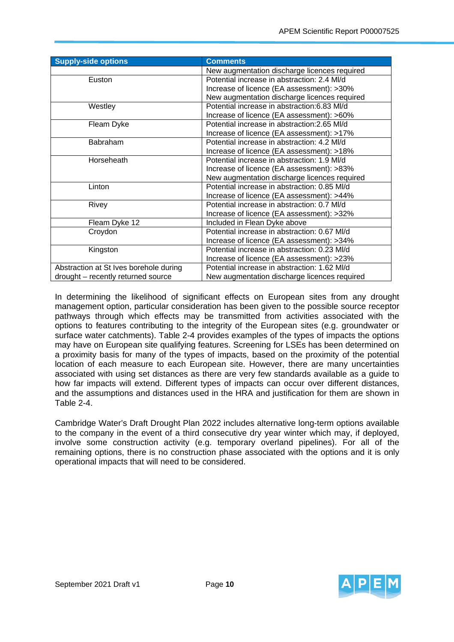| <b>Supply-side options</b>             | <b>Comments</b>                              |
|----------------------------------------|----------------------------------------------|
|                                        | New augmentation discharge licences required |
| Euston                                 | Potential increase in abstraction: 2.4 MI/d  |
|                                        | Increase of licence (EA assessment): >30%    |
|                                        | New augmentation discharge licences required |
| Westley                                | Potential increase in abstraction: 6.83 MI/d |
|                                        | Increase of licence (EA assessment): >60%    |
| Fleam Dyke                             | Potential increase in abstraction: 2.65 MI/d |
|                                        | Increase of licence (EA assessment): >17%    |
| <b>Babraham</b>                        | Potential increase in abstraction: 4.2 MI/d  |
|                                        | Increase of licence (EA assessment): >18%    |
| Horseheath                             | Potential increase in abstraction: 1.9 MI/d  |
|                                        | Increase of licence (EA assessment): >83%    |
|                                        | New augmentation discharge licences required |
| Linton                                 | Potential increase in abstraction: 0.85 MI/d |
|                                        | Increase of licence (EA assessment): >44%    |
| Rivey                                  | Potential increase in abstraction: 0.7 MI/d  |
|                                        | Increase of licence (EA assessment): >32%    |
| Fleam Dyke 12                          | Included in Flean Dyke above                 |
| Croydon                                | Potential increase in abstraction: 0.67 MI/d |
|                                        | Increase of licence (EA assessment): >34%    |
| Kingston                               | Potential increase in abstraction: 0.23 MI/d |
|                                        | Increase of licence (EA assessment): >23%    |
| Abstraction at St Ives borehole during | Potential increase in abstraction: 1.62 MI/d |
| drought - recently returned source     | New augmentation discharge licences required |

In determining the likelihood of significant effects on European sites from any drought management option, particular consideration has been given to the possible source receptor pathways through which effects may be transmitted from activities associated with the options to features contributing to the integrity of the European sites (e.g. groundwater or surface water catchments). Table 2-4 provides examples of the types of impacts the options may have on European site qualifying features. Screening for LSEs has been determined on a proximity basis for many of the types of impacts, based on the proximity of the potential location of each measure to each European site. However, there are many uncertainties associated with using set distances as there are very few standards available as a guide to how far impacts will extend. Different types of impacts can occur over different distances, and the assumptions and distances used in the HRA and justification for them are shown in Table 2-4.

Cambridge Water's Draft Drought Plan 2022 includes alternative long-term options available to the company in the event of a third consecutive dry year winter which may, if deployed, involve some construction activity (e.g. temporary overland pipelines). For all of the remaining options, there is no construction phase associated with the options and it is only operational impacts that will need to be considered.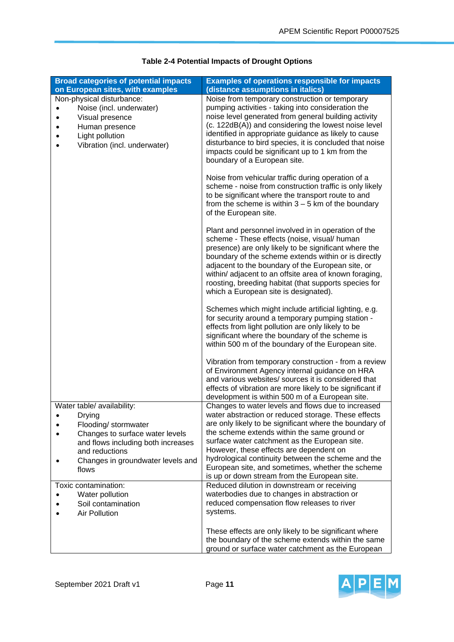| <b>Broad categories of potential impacts</b><br>on European sites, with examples                                                                                                                      | <b>Examples of operations responsible for impacts</b><br>(distance assumptions in italics)                                                                                                                                                                                                                                                                                                                                                                                 |
|-------------------------------------------------------------------------------------------------------------------------------------------------------------------------------------------------------|----------------------------------------------------------------------------------------------------------------------------------------------------------------------------------------------------------------------------------------------------------------------------------------------------------------------------------------------------------------------------------------------------------------------------------------------------------------------------|
| Non-physical disturbance:<br>Noise (incl. underwater)<br>Visual presence<br>Human presence<br>Light pollution<br>Vibration (incl. underwater)                                                         | Noise from temporary construction or temporary<br>pumping activities - taking into consideration the<br>noise level generated from general building activity<br>(c. 122dB(A)) and considering the lowest noise level<br>identified in appropriate guidance as likely to cause<br>disturbance to bird species, it is concluded that noise<br>impacts could be significant up to 1 km from the<br>boundary of a European site.                                               |
|                                                                                                                                                                                                       | Noise from vehicular traffic during operation of a<br>scheme - noise from construction traffic is only likely<br>to be significant where the transport route to and<br>from the scheme is within $3 - 5$ km of the boundary<br>of the European site.                                                                                                                                                                                                                       |
|                                                                                                                                                                                                       | Plant and personnel involved in in operation of the<br>scheme - These effects (noise, visual/ human<br>presence) are only likely to be significant where the<br>boundary of the scheme extends within or is directly<br>adjacent to the boundary of the European site, or<br>within/adjacent to an offsite area of known foraging,<br>roosting, breeding habitat (that supports species for<br>which a European site is designated).                                       |
|                                                                                                                                                                                                       | Schemes which might include artificial lighting, e.g.<br>for security around a temporary pumping station -<br>effects from light pollution are only likely to be<br>significant where the boundary of the scheme is<br>within 500 m of the boundary of the European site.                                                                                                                                                                                                  |
|                                                                                                                                                                                                       | Vibration from temporary construction - from a review<br>of Environment Agency internal guidance on HRA<br>and various websites/ sources it is considered that<br>effects of vibration are more likely to be significant if<br>development is within 500 m of a European site.                                                                                                                                                                                             |
| Water table/ availability:<br>Drying<br>Flooding/ stormwater<br>Changes to surface water levels<br>and flows including both increases<br>and reductions<br>Changes in groundwater levels and<br>flows | Changes to water levels and flows due to increased<br>water abstraction or reduced storage. These effects<br>are only likely to be significant where the boundary of<br>the scheme extends within the same ground or<br>surface water catchment as the European site.<br>However, these effects are dependent on<br>hydrological continuity between the scheme and the<br>European site, and sometimes, whether the scheme<br>is up or down stream from the European site. |
| Toxic contamination:<br>Water pollution<br>Soil contamination<br><b>Air Pollution</b>                                                                                                                 | Reduced dilution in downstream or receiving<br>waterbodies due to changes in abstraction or<br>reduced compensation flow releases to river<br>systems.                                                                                                                                                                                                                                                                                                                     |
|                                                                                                                                                                                                       | These effects are only likely to be significant where<br>the boundary of the scheme extends within the same<br>ground or surface water catchment as the European                                                                                                                                                                                                                                                                                                           |

### **Table 2-4 Potential Impacts of Drought Options**

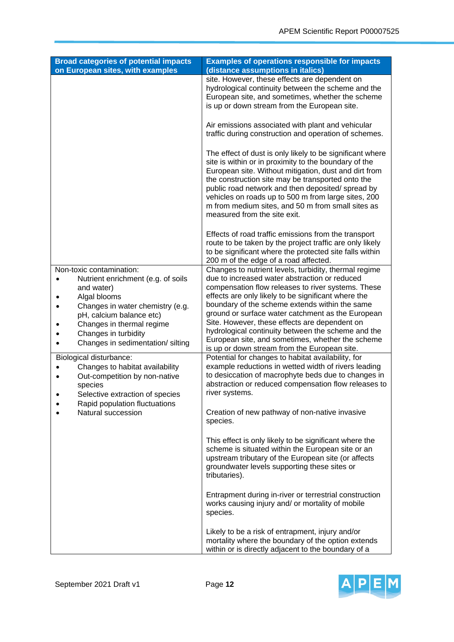| <b>Broad categories of potential impacts</b>                                                                                                                                                                                                           | <b>Examples of operations responsible for impacts</b>                                                                                                                                                                                                                                                                                                                                                                                                                                                                                 |
|--------------------------------------------------------------------------------------------------------------------------------------------------------------------------------------------------------------------------------------------------------|---------------------------------------------------------------------------------------------------------------------------------------------------------------------------------------------------------------------------------------------------------------------------------------------------------------------------------------------------------------------------------------------------------------------------------------------------------------------------------------------------------------------------------------|
| on European sites, with examples                                                                                                                                                                                                                       | (distance assumptions in italics)                                                                                                                                                                                                                                                                                                                                                                                                                                                                                                     |
|                                                                                                                                                                                                                                                        | site. However, these effects are dependent on<br>hydrological continuity between the scheme and the<br>European site, and sometimes, whether the scheme<br>is up or down stream from the European site.                                                                                                                                                                                                                                                                                                                               |
|                                                                                                                                                                                                                                                        | Air emissions associated with plant and vehicular<br>traffic during construction and operation of schemes.                                                                                                                                                                                                                                                                                                                                                                                                                            |
|                                                                                                                                                                                                                                                        | The effect of dust is only likely to be significant where<br>site is within or in proximity to the boundary of the<br>European site. Without mitigation, dust and dirt from<br>the construction site may be transported onto the<br>public road network and then deposited/ spread by<br>vehicles on roads up to 500 m from large sites, 200<br>m from medium sites, and 50 m from small sites as<br>measured from the site exit.                                                                                                     |
|                                                                                                                                                                                                                                                        | Effects of road traffic emissions from the transport<br>route to be taken by the project traffic are only likely<br>to be significant where the protected site falls within<br>200 m of the edge of a road affected.                                                                                                                                                                                                                                                                                                                  |
| Non-toxic contamination:<br>Nutrient enrichment (e.g. of soils<br>and water)<br>Algal blooms<br>Changes in water chemistry (e.g.<br>pH, calcium balance etc)<br>Changes in thermal regime<br>Changes in turbidity<br>Changes in sedimentation/ silting | Changes to nutrient levels, turbidity, thermal regime<br>due to increased water abstraction or reduced<br>compensation flow releases to river systems. These<br>effects are only likely to be significant where the<br>boundary of the scheme extends within the same<br>ground or surface water catchment as the European<br>Site. However, these effects are dependent on<br>hydrological continuity between the scheme and the<br>European site, and sometimes, whether the scheme<br>is up or down stream from the European site. |
| Biological disturbance:<br>Changes to habitat availability<br>Out-competition by non-native<br>species<br>Selective extraction of species<br>Rapid population fluctuations<br>Natural succession                                                       | Potential for changes to habitat availability, for<br>example reductions in wetted width of rivers leading<br>to desiccation of macrophyte beds due to changes in<br>abstraction or reduced compensation flow releases to<br>river systems.<br>Creation of new pathway of non-native invasive<br>species.                                                                                                                                                                                                                             |
|                                                                                                                                                                                                                                                        | This effect is only likely to be significant where the<br>scheme is situated within the European site or an<br>upstream tributary of the European site (or affects<br>groundwater levels supporting these sites or<br>tributaries).                                                                                                                                                                                                                                                                                                   |
|                                                                                                                                                                                                                                                        | Entrapment during in-river or terrestrial construction<br>works causing injury and/ or mortality of mobile<br>species.                                                                                                                                                                                                                                                                                                                                                                                                                |
|                                                                                                                                                                                                                                                        | Likely to be a risk of entrapment, injury and/or<br>mortality where the boundary of the option extends<br>within or is directly adjacent to the boundary of a                                                                                                                                                                                                                                                                                                                                                                         |

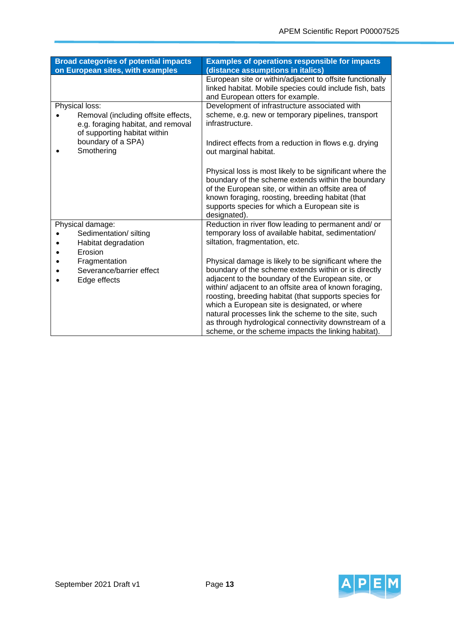| <b>Broad categories of potential impacts</b><br>on European sites, with examples                                            | <b>Examples of operations responsible for impacts</b><br>(distance assumptions in italics)                                                                                                                                                                                                                                                                                                                                                                                                                   |
|-----------------------------------------------------------------------------------------------------------------------------|--------------------------------------------------------------------------------------------------------------------------------------------------------------------------------------------------------------------------------------------------------------------------------------------------------------------------------------------------------------------------------------------------------------------------------------------------------------------------------------------------------------|
|                                                                                                                             | European site or within/adjacent to offsite functionally<br>linked habitat. Mobile species could include fish, bats<br>and European otters for example.                                                                                                                                                                                                                                                                                                                                                      |
| Physical loss:<br>Removal (including offsite effects,<br>e.g. foraging habitat, and removal<br>of supporting habitat within | Development of infrastructure associated with<br>scheme, e.g. new or temporary pipelines, transport<br>infrastructure.                                                                                                                                                                                                                                                                                                                                                                                       |
| boundary of a SPA)<br>Smothering                                                                                            | Indirect effects from a reduction in flows e.g. drying<br>out marginal habitat.                                                                                                                                                                                                                                                                                                                                                                                                                              |
|                                                                                                                             | Physical loss is most likely to be significant where the<br>boundary of the scheme extends within the boundary<br>of the European site, or within an offsite area of<br>known foraging, roosting, breeding habitat (that<br>supports species for which a European site is<br>designated).                                                                                                                                                                                                                    |
| Physical damage:<br>Sedimentation/silting<br>Habitat degradation<br>Erosion                                                 | Reduction in river flow leading to permanent and/ or<br>temporary loss of available habitat, sedimentation/<br>siltation, fragmentation, etc.                                                                                                                                                                                                                                                                                                                                                                |
| Fragmentation<br>Severance/barrier effect<br>Edge effects                                                                   | Physical damage is likely to be significant where the<br>boundary of the scheme extends within or is directly<br>adjacent to the boundary of the European site, or<br>within/ adjacent to an offsite area of known foraging,<br>roosting, breeding habitat (that supports species for<br>which a European site is designated, or where<br>natural processes link the scheme to the site, such<br>as through hydrological connectivity downstream of a<br>scheme, or the scheme impacts the linking habitat). |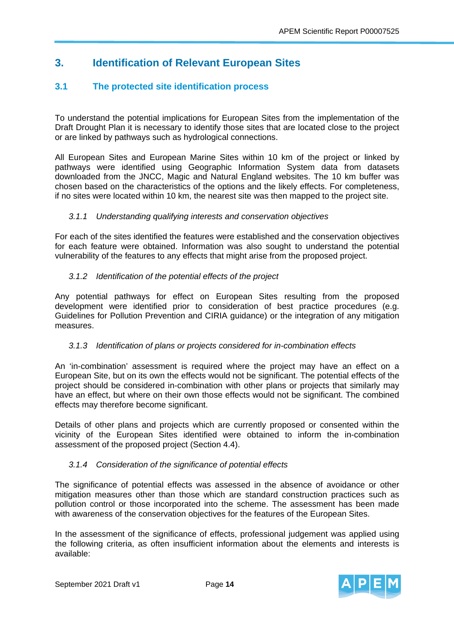## **3. Identification of Relevant European Sites**

## **3.1 The protected site identification process**

To understand the potential implications for European Sites from the implementation of the Draft Drought Plan it is necessary to identify those sites that are located close to the project or are linked by pathways such as hydrological connections.

All European Sites and European Marine Sites within 10 km of the project or linked by pathways were identified using Geographic Information System data from datasets downloaded from the JNCC, Magic and Natural England websites. The 10 km buffer was chosen based on the characteristics of the options and the likely effects. For completeness, if no sites were located within 10 km, the nearest site was then mapped to the project site.

#### *3.1.1 Understanding qualifying interests and conservation objectives*

For each of the sites identified the features were established and the conservation objectives for each feature were obtained. Information was also sought to understand the potential vulnerability of the features to any effects that might arise from the proposed project.

#### *3.1.2 Identification of the potential effects of the project*

Any potential pathways for effect on European Sites resulting from the proposed development were identified prior to consideration of best practice procedures (e.g. Guidelines for Pollution Prevention and CIRIA guidance) or the integration of any mitigation measures.

#### *3.1.3 Identification of plans or projects considered for in-combination effects*

An 'in-combination' assessment is required where the project may have an effect on a European Site, but on its own the effects would not be significant. The potential effects of the project should be considered in-combination with other plans or projects that similarly may have an effect, but where on their own those effects would not be significant. The combined effects may therefore become significant.

Details of other plans and projects which are currently proposed or consented within the vicinity of the European Sites identified were obtained to inform the in-combination assessment of the proposed project (Section 4.4).

#### *3.1.4 Consideration of the significance of potential effects*

The significance of potential effects was assessed in the absence of avoidance or other mitigation measures other than those which are standard construction practices such as pollution control or those incorporated into the scheme. The assessment has been made with awareness of the conservation objectives for the features of the European Sites.

In the assessment of the significance of effects, professional judgement was applied using the following criteria, as often insufficient information about the elements and interests is available:

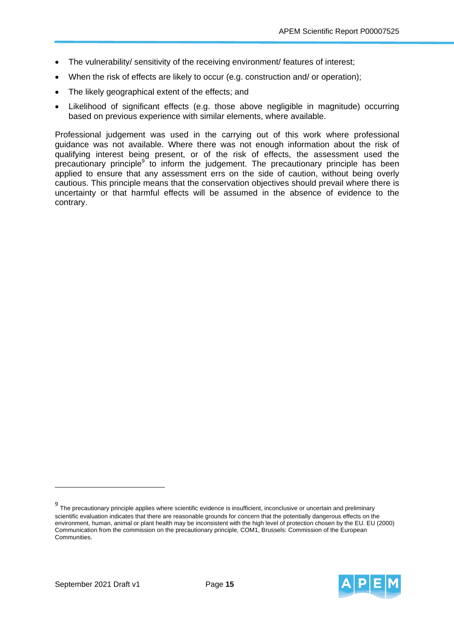- The vulnerability/ sensitivity of the receiving environment/ features of interest;
- When the risk of effects are likely to occur (e.g. construction and/ or operation);
- The likely geographical extent of the effects; and
- Likelihood of significant effects (e.g. those above negligible in magnitude) occurring based on previous experience with similar elements, where available.

Professional judgement was used in the carrying out of this work where professional guidance was not available. Where there was not enough information about the risk of qualifying interest being present, or of the risk of effects, the assessment used the precautionary principle<sup>9</sup> to inform the judgement. The precautionary principle has been applied to ensure that any assessment errs on the side of caution, without being overly cautious. This principle means that the conservation objectives should prevail where there is uncertainty or that harmful effects will be assumed in the absence of evidence to the contrary.

 $9$  The precautionary principle applies where scientific evidence is insufficient, inconclusive or uncertain and preliminary scientific evaluation indicates that there are reasonable grounds for concern that the potentially dangerous effects on the environment, human, animal or plant health may be inconsistent with the high level of protection chosen by the EU. EU (2000) Communication from the commission on the precautionary principle, COM1, Brussels: Commission of the European Communities.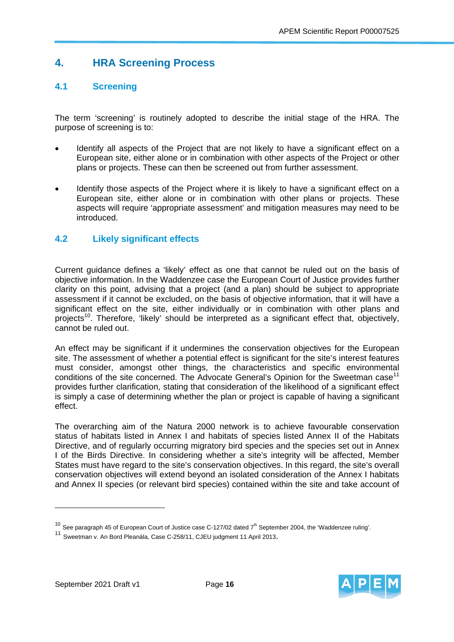## **4. HRA Screening Process**

## **4.1 Screening**

The term 'screening' is routinely adopted to describe the initial stage of the HRA. The purpose of screening is to:

- Identify all aspects of the Project that are not likely to have a significant effect on a European site, either alone or in combination with other aspects of the Project or other plans or projects. These can then be screened out from further assessment.
- Identify those aspects of the Project where it is likely to have a significant effect on a European site, either alone or in combination with other plans or projects. These aspects will require 'appropriate assessment' and mitigation measures may need to be introduced.

## **4.2 Likely significant effects**

Current guidance defines a 'likely' effect as one that cannot be ruled out on the basis of objective information. In the Waddenzee case the European Court of Justice provides further clarity on this point, advising that a project (and a plan) should be subject to appropriate assessment if it cannot be excluded, on the basis of objective information, that it will have a significant effect on the site, either individually or in combination with other plans and projects<sup>10</sup>. Therefore, 'likely' should be interpreted as a significant effect that, objectively, cannot be ruled out.

An effect may be significant if it undermines the conservation objectives for the European site. The assessment of whether a potential effect is significant for the site's interest features must consider, amongst other things, the characteristics and specific environmental conditions of the site concerned. The Advocate General's Opinion for the Sweetman case<sup>11</sup> provides further clarification, stating that consideration of the likelihood of a significant effect is simply a case of determining whether the plan or project is capable of having a significant effect.

The overarching aim of the Natura 2000 network is to achieve favourable conservation status of habitats listed in Annex I and habitats of species listed Annex II of the Habitats Directive, and of regularly occurring migratory bird species and the species set out in Annex I of the Birds Directive. In considering whether a site's integrity will be affected, Member States must have regard to the site's conservation objectives. In this regard, the site's overall conservation objectives will extend beyond an isolated consideration of the Annex I habitats and Annex II species (or relevant bird species) contained within the site and take account of



 $10$  See paragraph 45 of European Court of Justice case C-127/02 dated  $7<sup>th</sup>$  September 2004, the 'Waddenzee ruling'.

<sup>11</sup> Sweetman v. An Bord Pleanála, Case C-258/11, CJEU judgment 11 April 2013.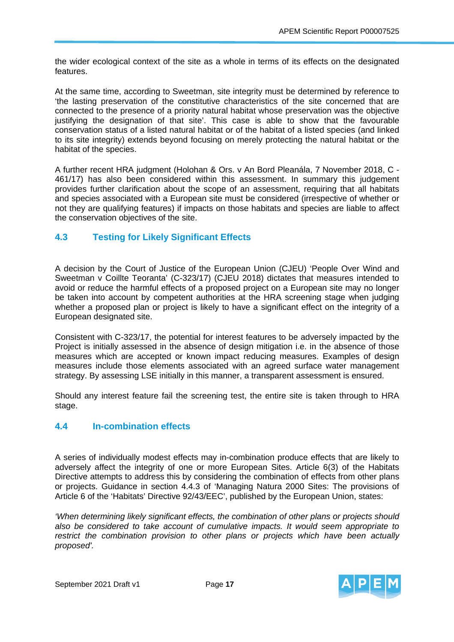the wider ecological context of the site as a whole in terms of its effects on the designated features.

At the same time, according to Sweetman, site integrity must be determined by reference to 'the lasting preservation of the constitutive characteristics of the site concerned that are connected to the presence of a priority natural habitat whose preservation was the objective justifying the designation of that site'. This case is able to show that the favourable conservation status of a listed natural habitat or of the habitat of a listed species (and linked to its site integrity) extends beyond focusing on merely protecting the natural habitat or the habitat of the species.

A further recent HRA judgment (Holohan & Ors. v An Bord Pleanála, 7 November 2018, C - 461/17) has also been considered within this assessment. In summary this judgement provides further clarification about the scope of an assessment, requiring that all habitats and species associated with a European site must be considered (irrespective of whether or not they are qualifying features) if impacts on those habitats and species are liable to affect the conservation objectives of the site.

## **4.3 Testing for Likely Significant Effects**

A decision by the Court of Justice of the European Union (CJEU) 'People Over Wind and Sweetman v Coillte Teoranta' (C-323/17) (CJEU 2018) dictates that measures intended to avoid or reduce the harmful effects of a proposed project on a European site may no longer be taken into account by competent authorities at the HRA screening stage when judging whether a proposed plan or project is likely to have a significant effect on the integrity of a European designated site.

Consistent with C-323/17, the potential for interest features to be adversely impacted by the Project is initially assessed in the absence of design mitigation i.e. in the absence of those measures which are accepted or known impact reducing measures. Examples of design measures include those elements associated with an agreed surface water management strategy. By assessing LSE initially in this manner, a transparent assessment is ensured.

Should any interest feature fail the screening test, the entire site is taken through to HRA stage.

## **4.4 In-combination effects**

A series of individually modest effects may in-combination produce effects that are likely to adversely affect the integrity of one or more European Sites. Article 6(3) of the Habitats Directive attempts to address this by considering the combination of effects from other plans or projects. Guidance in section 4.4.3 of 'Managing Natura 2000 Sites: The provisions of Article 6 of the 'Habitats' Directive 92/43/EEC', published by the European Union, states:

*'When determining likely significant effects, the combination of other plans or projects should also be considered to take account of cumulative impacts. It would seem appropriate to restrict the combination provision to other plans or projects which have been actually proposed'.* 

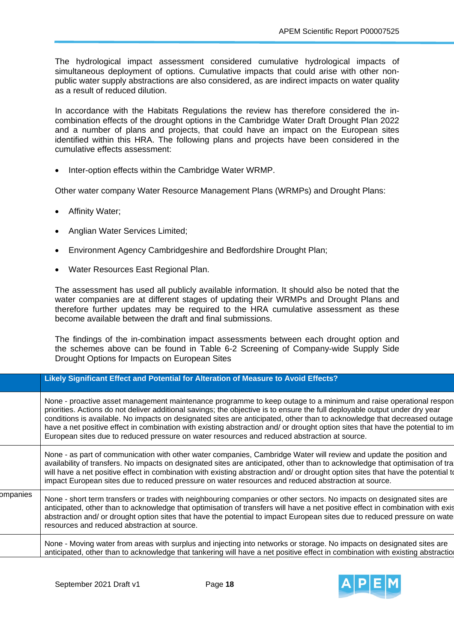The hydrological impact assessment considered cumulative hydrological impacts of simultaneous deployment of options. Cumulative impacts that could arise with other nonpublic water supply abstractions are also considered, as are indirect impacts on water quality as a result of reduced dilution.

In accordance with the Habitats Regulations the review has therefore considered the incombination effects of the drought options in the Cambridge Water Draft Drought Plan 2022 and a number of plans and projects, that could have an impact on the European sites identified within this HRA. The following plans and projects have been considered in the cumulative effects assessment:

Inter-option effects within the Cambridge Water WRMP.

Other water company Water Resource Management Plans (WRMPs) and Drought Plans:

- Affinity Water;
- Anglian Water Services Limited;
- Environment Agency Cambridgeshire and Bedfordshire Drought Plan;
- Water Resources East Regional Plan.

The assessment has used all publicly available information. It should also be noted that the water companies are at different stages of updating their WRMPs and Drought Plans and therefore further updates may be required to the HRA cumulative assessment as these become available between the draft and final submissions.

The findings of the in-combination impact assessments between each drought option and the schemes above can be found in Table 6-2 Screening of Company-wide Supply Side Drought Options for Impacts on European Sites

|          | Likely Significant Effect and Potential for Alteration of Measure to Avoid Effects?                                                                                                                                                                                                                                                                                                                                                                                                                                                                                                                           |
|----------|---------------------------------------------------------------------------------------------------------------------------------------------------------------------------------------------------------------------------------------------------------------------------------------------------------------------------------------------------------------------------------------------------------------------------------------------------------------------------------------------------------------------------------------------------------------------------------------------------------------|
|          | None - proactive asset management maintenance programme to keep outage to a minimum and raise operational respon<br>priorities. Actions do not deliver additional savings; the objective is to ensure the full deployable output under dry year<br>conditions is available. No impacts on designated sites are anticipated, other than to acknowledge that decreased outage<br>have a net positive effect in combination with existing abstraction and/ or drought option sites that have the potential to im<br>European sites due to reduced pressure on water resources and reduced abstraction at source. |
|          | None - as part of communication with other water companies, Cambridge Water will review and update the position and<br>availability of transfers. No impacts on designated sites are anticipated, other than to acknowledge that optimisation of tra<br>will have a net positive effect in combination with existing abstraction and/ or drought option sites that have the potential to<br>impact European sites due to reduced pressure on water resources and reduced abstraction at source.                                                                                                               |
| ompanies | None - short term transfers or trades with neighbouring companies or other sectors. No impacts on designated sites are<br>anticipated, other than to acknowledge that optimisation of transfers will have a net positive effect in combination with exis<br>abstraction and/ or drought option sites that have the potential to impact European sites due to reduced pressure on wate<br>resources and reduced abstraction at source.                                                                                                                                                                         |
|          | None - Moving water from areas with surplus and injecting into networks or storage. No impacts on designated sites are<br>anticipated, other than to acknowledge that tankering will have a net positive effect in combination with existing abstraction                                                                                                                                                                                                                                                                                                                                                      |

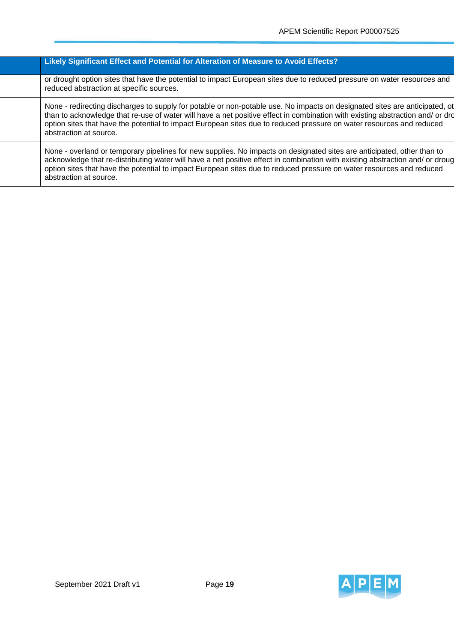#### **Likely Significant Effect and Potential for Alteration of Measure to Avoid Effects?**

or drought option sites that have the potential to impact European sites due to reduced pressure on water resources and reduced abstraction at specific sources.

None - redirecting discharges to supply for potable or non-potable use. No impacts on designated sites are anticipated, ot than to acknowledge that re-use of water will have a net positive effect in combination with existing abstraction and/ or dro option sites that have the potential to impact European sites due to reduced pressure on water resources and reduced abstraction at source.

None - overland or temporary pipelines for new supplies. No impacts on designated sites are anticipated, other than to acknowledge that re-distributing water will have a net positive effect in combination with existing abstraction and/ or droug option sites that have the potential to impact European sites due to reduced pressure on water resources and reduced abstraction at source.

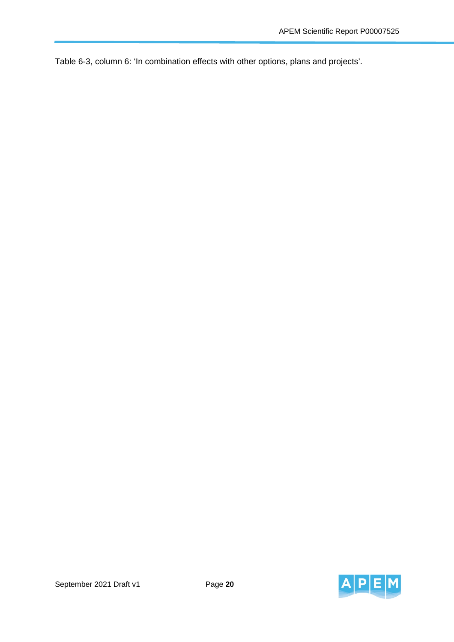Table 6-3, column 6: 'In combination effects with other options, plans and projects'.

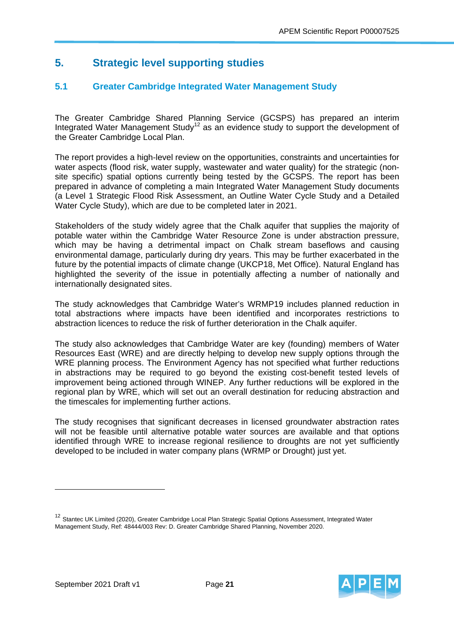## **5. Strategic level supporting studies**

## **5.1 Greater Cambridge Integrated Water Management Study**

The Greater Cambridge Shared Planning Service (GCSPS) has prepared an interim Integrated Water Management Study<sup>12</sup> as an evidence study to support the development of the Greater Cambridge Local Plan.

The report provides a high-level review on the opportunities, constraints and uncertainties for water aspects (flood risk, water supply, wastewater and water quality) for the strategic (nonsite specific) spatial options currently being tested by the GCSPS. The report has been prepared in advance of completing a main Integrated Water Management Study documents (a Level 1 Strategic Flood Risk Assessment, an Outline Water Cycle Study and a Detailed Water Cycle Study), which are due to be completed later in 2021.

Stakeholders of the study widely agree that the Chalk aquifer that supplies the majority of potable water within the Cambridge Water Resource Zone is under abstraction pressure, which may be having a detrimental impact on Chalk stream baseflows and causing environmental damage, particularly during dry years. This may be further exacerbated in the future by the potential impacts of climate change (UKCP18, Met Office). Natural England has highlighted the severity of the issue in potentially affecting a number of nationally and internationally designated sites.

The study acknowledges that Cambridge Water's WRMP19 includes planned reduction in total abstractions where impacts have been identified and incorporates restrictions to abstraction licences to reduce the risk of further deterioration in the Chalk aquifer.

The study also acknowledges that Cambridge Water are key (founding) members of Water Resources East (WRE) and are directly helping to develop new supply options through the WRE planning process. The Environment Agency has not specified what further reductions in abstractions may be required to go beyond the existing cost-benefit tested levels of improvement being actioned through WINEP. Any further reductions will be explored in the regional plan by WRE, which will set out an overall destination for reducing abstraction and the timescales for implementing further actions.

The study recognises that significant decreases in licensed groundwater abstraction rates will not be feasible until alternative potable water sources are available and that options identified through WRE to increase regional resilience to droughts are not yet sufficiently developed to be included in water company plans (WRMP or Drought) just yet.

<sup>&</sup>lt;sup>12</sup> Stantec UK Limited (2020), Greater Cambridge Local Plan Strategic Spatial Options Assessment, Integrated Water Management Study, Ref: 48444/003 Rev: D. Greater Cambridge Shared Planning, November 2020.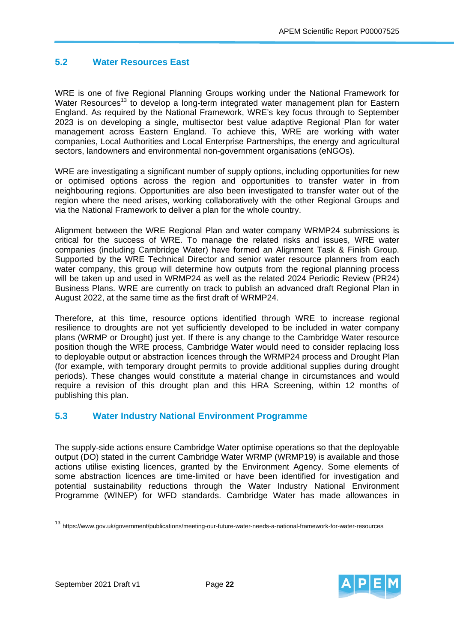## **5.2 Water Resources East**

WRE is one of five Regional Planning Groups working under the National Framework for Water Resources<sup>13</sup> to develop a long-term integrated water management plan for Eastern England. As required by the National Framework, WRE's key focus through to September 2023 is on developing a single, multisector best value adaptive Regional Plan for water management across Eastern England. To achieve this, WRE are working with water companies, Local Authorities and Local Enterprise Partnerships, the energy and agricultural sectors, landowners and environmental non-government organisations (eNGOs).

WRE are investigating a significant number of supply options, including opportunities for new or optimised options across the region and opportunities to transfer water in from neighbouring regions. Opportunities are also been investigated to transfer water out of the region where the need arises, working collaboratively with the other Regional Groups and via the National Framework to deliver a plan for the whole country.

Alignment between the WRE Regional Plan and water company WRMP24 submissions is critical for the success of WRE. To manage the related risks and issues, WRE water companies (including Cambridge Water) have formed an Alignment Task & Finish Group. Supported by the WRE Technical Director and senior water resource planners from each water company, this group will determine how outputs from the regional planning process will be taken up and used in WRMP24 as well as the related 2024 Periodic Review (PR24) Business Plans. WRE are currently on track to publish an advanced draft Regional Plan in August 2022, at the same time as the first draft of WRMP24.

Therefore, at this time, resource options identified through WRE to increase regional resilience to droughts are not yet sufficiently developed to be included in water company plans (WRMP or Drought) just yet. If there is any change to the Cambridge Water resource position though the WRE process, Cambridge Water would need to consider replacing loss to deployable output or abstraction licences through the WRMP24 process and Drought Plan (for example, with temporary drought permits to provide additional supplies during drought periods). These changes would constitute a material change in circumstances and would require a revision of this drought plan and this HRA Screening, within 12 months of publishing this plan.

### **5.3 Water Industry National Environment Programme**

The supply-side actions ensure Cambridge Water optimise operations so that the deployable output (DO) stated in the current Cambridge Water WRMP (WRMP19) is available and those actions utilise existing licences, granted by the Environment Agency. Some elements of some abstraction licences are time-limited or have been identified for investigation and potential sustainability reductions through the Water Industry National Environment Programme (WINEP) for WFD standards. Cambridge Water has made allowances in



<sup>13</sup> https://www.gov.uk/government/publications/meeting-our-future-water-needs-a-national-framework-for-water-resources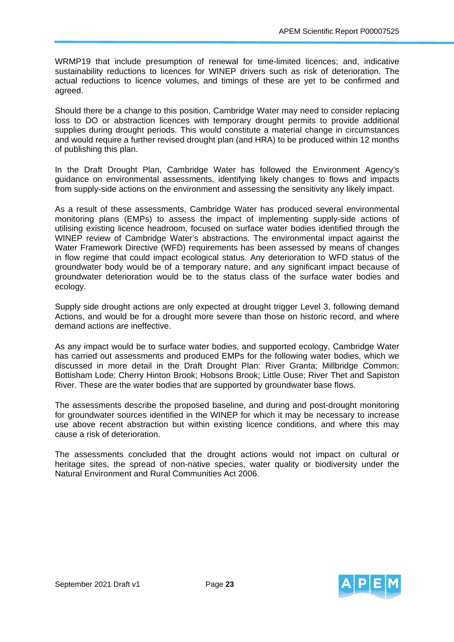WRMP19 that include presumption of renewal for time-limited licences; and, indicative sustainability reductions to licences for WINEP drivers such as risk of deterioration. The actual reductions to licence volumes, and timings of these are yet to be confirmed and agreed.

Should there be a change to this position, Cambridge Water may need to consider replacing loss to DO or abstraction licences with temporary drought permits to provide additional supplies during drought periods. This would constitute a material change in circumstances and would require a further revised drought plan (and HRA) to be produced within 12 months of publishing this plan.

In the Draft Drought Plan, Cambridge Water has followed the Environment Agency's guidance on environmental assessments, identifying likely changes to flows and impacts from supply-side actions on the environment and assessing the sensitivity any likely impact.

As a result of these assessments, Cambridge Water has produced several environmental monitoring plans (EMPs) to assess the impact of implementing supply-side actions of utilising existing licence headroom, focused on surface water bodies identified through the WINEP review of Cambridge Water's abstractions. The environmental impact against the Water Framework Directive (WFD) requirements has been assessed by means of changes in flow regime that could impact ecological status. Any deterioration to WFD status of the groundwater body would be of a temporary nature, and any significant impact because of groundwater deterioration would be to the status class of the surface water bodies and ecology.

Supply side drought actions are only expected at drought trigger Level 3, following demand Actions, and would be for a drought more severe than those on historic record, and where demand actions are ineffective.

As any impact would be to surface water bodies, and supported ecology, Cambridge Water has carried out assessments and produced EMPs for the following water bodies, which we discussed in more detail in the Draft Drought Plan: River Granta; Millbridge Common; Bottisham Lode; Cherry Hinton Brook; Hobsons Brook; Little Ouse; River Thet and Sapiston River. These are the water bodies that are supported by groundwater base flows.

The assessments describe the proposed baseline, and during and post-drought monitoring for groundwater sources identified in the WINEP for which it may be necessary to increase use above recent abstraction but within existing licence conditions, and where this may cause a risk of deterioration.

The assessments concluded that the drought actions would not impact on cultural or heritage sites, the spread of non-native species, water quality or biodiversity under the Natural Environment and Rural Communities Act 2006.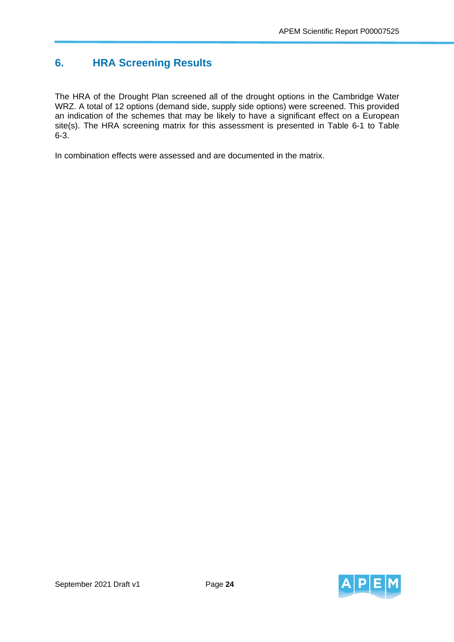## **6. HRA Screening Results**

The HRA of the Drought Plan screened all of the drought options in the Cambridge Water WRZ. A total of 12 options (demand side, supply side options) were screened. This provided an indication of the schemes that may be likely to have a significant effect on a European site(s). The HRA screening matrix for this assessment is presented in Table 6-1 to Table 6-3.

In combination effects were assessed and are documented in the matrix.

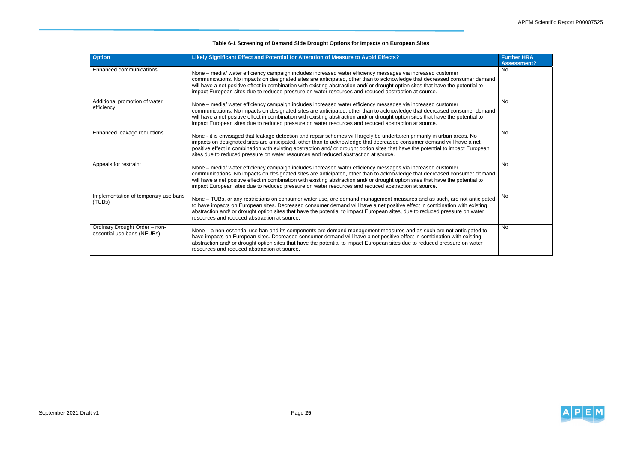

### **Table 6-1 Screening of Demand Side Drought Options for Impacts on European Sites**

| <b>Option</b>                                               | Likely Significant Effect and Potential for Alteration of Measure to Avoid Effects?                                                                                                                                                                                                                                                                                                                                                                                                | <b>Further HRA</b><br><b>Assessment?</b> |
|-------------------------------------------------------------|------------------------------------------------------------------------------------------------------------------------------------------------------------------------------------------------------------------------------------------------------------------------------------------------------------------------------------------------------------------------------------------------------------------------------------------------------------------------------------|------------------------------------------|
| Enhanced communications                                     | None - media/ water efficiency campaign includes increased water efficiency messages via increased customer<br>communications. No impacts on designated sites are anticipated, other than to acknowledge that decreased consumer demand<br>will have a net positive effect in combination with existing abstraction and/ or drought option sites that have the potential to<br>impact European sites due to reduced pressure on water resources and reduced abstraction at source. | <b>No</b>                                |
| Additional promotion of water<br>efficiency                 | None - media/ water efficiency campaign includes increased water efficiency messages via increased customer<br>communications. No impacts on designated sites are anticipated, other than to acknowledge that decreased consumer demand<br>will have a net positive effect in combination with existing abstraction and/ or drought option sites that have the potential to<br>impact European sites due to reduced pressure on water resources and reduced abstraction at source. | <b>No</b>                                |
| Enhanced leakage reductions                                 | None - it is envisaged that leakage detection and repair schemes will largely be undertaken primarily in urban areas. No<br>impacts on designated sites are anticipated, other than to acknowledge that decreased consumer demand will have a net<br>positive effect in combination with existing abstraction and/ or drought option sites that have the potential to impact European<br>sites due to reduced pressure on water resources and reduced abstraction at source.       | <b>No</b>                                |
| Appeals for restraint                                       | None – media/ water efficiency campaign includes increased water efficiency messages via increased customer<br>communications. No impacts on designated sites are anticipated, other than to acknowledge that decreased consumer demand<br>will have a net positive effect in combination with existing abstraction and/ or drought option sites that have the potential to<br>impact European sites due to reduced pressure on water resources and reduced abstraction at source. | No                                       |
| Implementation of temporary use bans<br>(TUBs)              | None – TUBs, or any restrictions on consumer water use, are demand management measures and as such, are not anticipated<br>to have impacts on European sites. Decreased consumer demand will have a net positive effect in combination with existing<br>abstraction and/ or drought option sites that have the potential to impact European sites, due to reduced pressure on water<br>resources and reduced abstraction at source.                                                | No                                       |
| Ordinary Drought Order - non-<br>essential use bans (NEUBs) | None – a non-essential use ban and its components are demand management measures and as such are not anticipated to<br>have impacts on European sites. Decreased consumer demand will have a net positive effect in combination with existing<br>abstraction and/ or drought option sites that have the potential to impact European sites due to reduced pressure on water<br>resources and reduced abstraction at source.                                                        | <b>No</b>                                |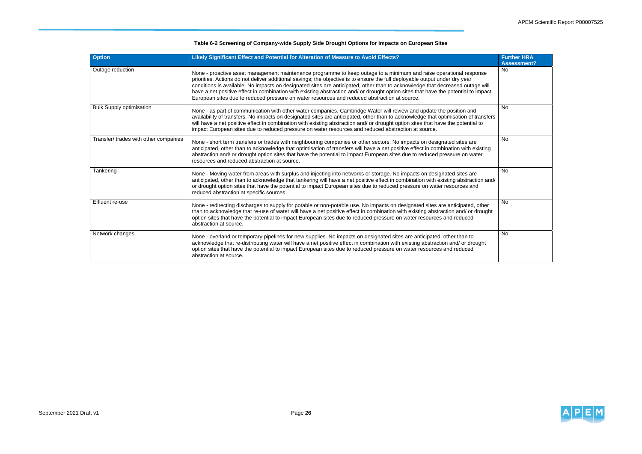

### **Table 6-2 Screening of Company-wide Supply Side Drought Options for Impacts on European Sites**

| <b>Option</b>                         | Likely Significant Effect and Potential for Alteration of Measure to Avoid Effects?                                                                                                                                                                                                                                                                                                                                                                                                                                                                                                                                      | <b>Further HRA</b><br><b>Assessment?</b> |
|---------------------------------------|--------------------------------------------------------------------------------------------------------------------------------------------------------------------------------------------------------------------------------------------------------------------------------------------------------------------------------------------------------------------------------------------------------------------------------------------------------------------------------------------------------------------------------------------------------------------------------------------------------------------------|------------------------------------------|
| Outage reduction                      | None - proactive asset management maintenance programme to keep outage to a minimum and raise operational response<br>priorities. Actions do not deliver additional savings; the objective is to ensure the full deployable output under dry year<br>conditions is available. No impacts on designated sites are anticipated, other than to acknowledge that decreased outage will<br>have a net positive effect in combination with existing abstraction and/ or drought option sites that have the potential to impact<br>European sites due to reduced pressure on water resources and reduced abstraction at source. | <b>No</b>                                |
| <b>Bulk Supply optimisation</b>       | None - as part of communication with other water companies, Cambridge Water will review and update the position and<br>availability of transfers. No impacts on designated sites are anticipated, other than to acknowledge that optimisation of transfers<br>will have a net positive effect in combination with existing abstraction and/ or drought option sites that have the potential to<br>impact European sites due to reduced pressure on water resources and reduced abstraction at source.                                                                                                                    | <b>No</b>                                |
| Transfer/ trades with other companies | None - short term transfers or trades with neighbouring companies or other sectors. No impacts on designated sites are<br>anticipated, other than to acknowledge that optimisation of transfers will have a net positive effect in combination with existing<br>abstraction and/ or drought option sites that have the potential to impact European sites due to reduced pressure on water<br>resources and reduced abstraction at source.                                                                                                                                                                               | <b>No</b>                                |
| Tankering                             | None - Moving water from areas with surplus and injecting into networks or storage. No impacts on designated sites are<br>anticipated, other than to acknowledge that tankering will have a net positive effect in combination with existing abstraction and/<br>or drought option sites that have the potential to impact European sites due to reduced pressure on water resources and<br>reduced abstraction at specific sources.                                                                                                                                                                                     | <b>No</b>                                |
| Effluent re-use                       | None - redirecting discharges to supply for potable or non-potable use. No impacts on designated sites are anticipated, other<br>than to acknowledge that re-use of water will have a net positive effect in combination with existing abstraction and/ or drought<br>option sites that have the potential to impact European sites due to reduced pressure on water resources and reduced<br>abstraction at source.                                                                                                                                                                                                     | No                                       |
| Network changes                       | None - overland or temporary pipelines for new supplies. No impacts on designated sites are anticipated, other than to<br>acknowledge that re-distributing water will have a net positive effect in combination with existing abstraction and/ or drought<br>option sites that have the potential to impact European sites due to reduced pressure on water resources and reduced<br>abstraction at source.                                                                                                                                                                                                              | <b>No</b>                                |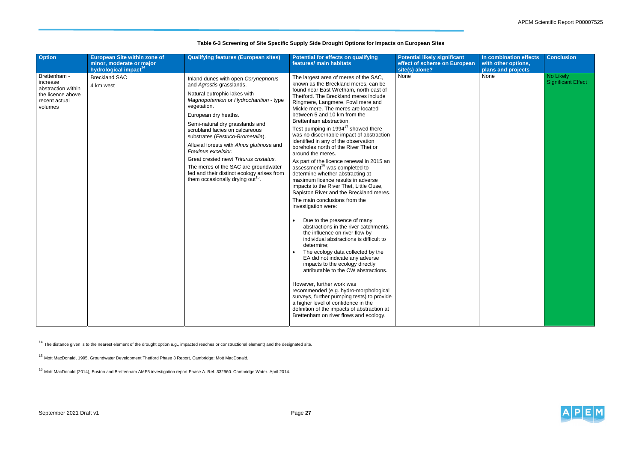

## **Table 6-3 Screening of Site Specific Supply Side Drought Options for Impacts on European Sites**

<sup>14</sup> The distance given is to the nearest element of the drought option e.g., impacted reaches or constructional element) and the designated site.

<sup>15</sup> Mott MacDonald, 1995. Groundwater Development Thetford Phase 3 Report, Cambridge: Mott MacDonald.

<sup>16</sup> Mott MacDonald (2014), Euston and Brettenham AMP5 investigation report Phase A. Ref. 332960. Cambridge Water. April 2014.

| <b>Option</b>                                                                                   | <b>European Site within zone of</b><br>minor, moderate or major<br>hydrological impact <sup>14</sup> | <b>Qualifying features (European sites)</b>                                                                                                                                                                                                                                                                                                                                                                                                                                                                                                   | <b>Potential for effects on qualifying</b><br>features/ main habitats                                                                                                                                                                                                                                                                                                                                                                                                                                                                                                                                                                                                                                                                                                                                                                                                                                                                                                                                                                                                                                                                                                                                                                                                                                                                                                                                  | <b>Potential likely significant</b><br>effect of scheme on European<br>site(s) alone? | In combination effects<br>with other options,<br>plans and projects | <b>Conclusion</b>                      |
|-------------------------------------------------------------------------------------------------|------------------------------------------------------------------------------------------------------|-----------------------------------------------------------------------------------------------------------------------------------------------------------------------------------------------------------------------------------------------------------------------------------------------------------------------------------------------------------------------------------------------------------------------------------------------------------------------------------------------------------------------------------------------|--------------------------------------------------------------------------------------------------------------------------------------------------------------------------------------------------------------------------------------------------------------------------------------------------------------------------------------------------------------------------------------------------------------------------------------------------------------------------------------------------------------------------------------------------------------------------------------------------------------------------------------------------------------------------------------------------------------------------------------------------------------------------------------------------------------------------------------------------------------------------------------------------------------------------------------------------------------------------------------------------------------------------------------------------------------------------------------------------------------------------------------------------------------------------------------------------------------------------------------------------------------------------------------------------------------------------------------------------------------------------------------------------------|---------------------------------------------------------------------------------------|---------------------------------------------------------------------|----------------------------------------|
| Brettenham -<br>increase<br>abstraction within<br>the licence above<br>recent actual<br>volumes | <b>Breckland SAC</b><br>4 km west                                                                    | Inland dunes with open Corynephorus<br>and Agrostis grasslands.<br>Natural eutrophic lakes with<br>Magnopotamion or Hydrocharition - type<br>vegetation.<br>European dry heaths.<br>Semi-natural dry grasslands and<br>scrubland facies on calcareous<br>substrates (Festuco-Brometalia).<br>Alluvial forests with Alnus glutinosa and<br>Fraxinus excelsior.<br>Great crested newt Triturus cristatus.<br>The meres of the SAC are groundwater<br>fed and their distinct ecology arises from<br>them occasionally drying out <sup>15</sup> . | The largest area of meres of the SAC,<br>known as the Breckland meres, can be<br>found near East Wretham, north east of<br>Thetford. The Breckland meres include<br>Ringmere, Langmere, Fowl mere and<br>Mickle mere. The meres are located<br>between 5 and 10 km from the<br>Brettenham abstraction.<br>Test pumping in 1994 <sup>17</sup> showed there<br>was no discernable impact of abstraction<br>identified in any of the observation<br>boreholes north of the River Thet or<br>around the meres.<br>As part of the licence renewal in 2015 an<br>assessment <sup>16</sup> was completed to<br>determine whether abstracting at<br>maximum licence results in adverse<br>impacts to the River Thet, Little Ouse,<br>Sapiston River and the Breckland meres.<br>The main conclusions from the<br>investigation were:<br>Due to the presence of many<br>abstractions in the river catchments,<br>the influence on river flow by<br>individual abstractions is difficult to<br>determine;<br>The ecology data collected by the<br>EA did not indicate any adverse<br>impacts to the ecology directly<br>attributable to the CW abstractions.<br>However, further work was<br>recommended (e.g. hydro-morphological<br>surveys, further pumping tests) to provide<br>a higher level of confidence in the<br>definition of the impacts of abstraction at<br>Brettenham on river flows and ecology. | None                                                                                  | None                                                                | No Likely<br><b>Significant Effect</b> |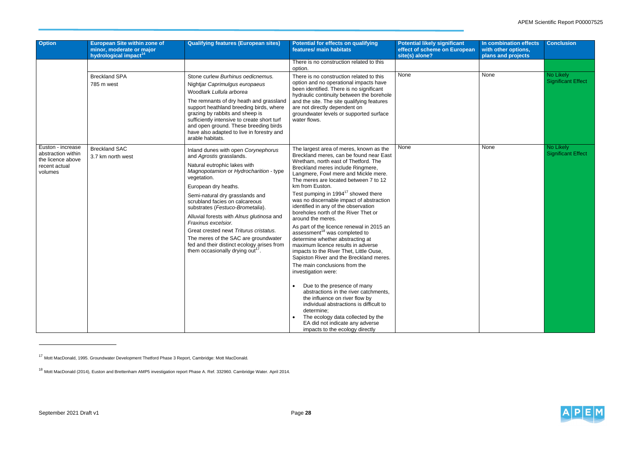## APEM Scientific Report P00007525



| <b>Option</b>                                                                            | <b>European Site within zone of</b>                           | <b>Qualifying features (European sites)</b>                                                                                                                                                                                                                                                                                                                                                                                                                                                                                                   | <b>Potential for effects on qualifying</b>                                                                                                                                                                                                                                                                                                                                                                                                                                                                                                                                                                                                                                                                                                                                                                                                                                                                                                                                                                                                                              | <b>Potential likely significant</b>            | In combination effects                    | <b>Conclusion</b>                      |
|------------------------------------------------------------------------------------------|---------------------------------------------------------------|-----------------------------------------------------------------------------------------------------------------------------------------------------------------------------------------------------------------------------------------------------------------------------------------------------------------------------------------------------------------------------------------------------------------------------------------------------------------------------------------------------------------------------------------------|-------------------------------------------------------------------------------------------------------------------------------------------------------------------------------------------------------------------------------------------------------------------------------------------------------------------------------------------------------------------------------------------------------------------------------------------------------------------------------------------------------------------------------------------------------------------------------------------------------------------------------------------------------------------------------------------------------------------------------------------------------------------------------------------------------------------------------------------------------------------------------------------------------------------------------------------------------------------------------------------------------------------------------------------------------------------------|------------------------------------------------|-------------------------------------------|----------------------------------------|
|                                                                                          | minor, moderate or major<br>hydrological impact <sup>14</sup> |                                                                                                                                                                                                                                                                                                                                                                                                                                                                                                                                               | features/ main habitats                                                                                                                                                                                                                                                                                                                                                                                                                                                                                                                                                                                                                                                                                                                                                                                                                                                                                                                                                                                                                                                 | effect of scheme on European<br>site(s) alone? | with other options,<br>plans and projects |                                        |
|                                                                                          |                                                               |                                                                                                                                                                                                                                                                                                                                                                                                                                                                                                                                               | There is no construction related to this<br>option.                                                                                                                                                                                                                                                                                                                                                                                                                                                                                                                                                                                                                                                                                                                                                                                                                                                                                                                                                                                                                     |                                                |                                           |                                        |
|                                                                                          | <b>Breckland SPA</b><br>785 m west                            | Stone curlew Burhinus oedicnemus.<br>Nightjar Caprimulgus europaeus<br>Woodlark Lullula arborea<br>The remnants of dry heath and grassland<br>support heathland breeding birds, where<br>grazing by rabbits and sheep is<br>sufficiently intensive to create short turf<br>and open ground. These breeding birds<br>have also adapted to live in forestry and<br>arable habitats.                                                                                                                                                             | There is no construction related to this<br>option and no operational impacts have<br>been identified. There is no significant<br>hydraulic continuity between the borehole<br>and the site. The site qualifying features<br>are not directly dependent on<br>groundwater levels or supported surface<br>water flows.                                                                                                                                                                                                                                                                                                                                                                                                                                                                                                                                                                                                                                                                                                                                                   | None                                           | None                                      | No Likely<br><b>Significant Effect</b> |
| Euston - increase<br>abstraction within<br>the licence above<br>recent actual<br>volumes | <b>Breckland SAC</b><br>3.7 km north west                     | Inland dunes with open Corynephorus<br>and Agrostis grasslands.<br>Natural eutrophic lakes with<br>Magnopotamion or Hydrocharition - type<br>vegetation.<br>European dry heaths.<br>Semi-natural dry grasslands and<br>scrubland facies on calcareous<br>substrates (Festuco-Brometalia).<br>Alluvial forests with Alnus glutinosa and<br>Fraxinus excelsior.<br>Great crested newt Triturus cristatus.<br>The meres of the SAC are groundwater<br>fed and their distinct ecology arises from<br>them occasionally drying out <sup>17</sup> . | The largest area of meres, known as the<br>Breckland meres, can be found near East<br>Wretham, north east of Thetford. The<br>Breckland meres include Ringmere,<br>Langmere, Fowl mere and Mickle mere.<br>The meres are located between 7 to 12<br>km from Euston.<br>Test pumping in 1994 <sup>17</sup> showed there<br>was no discernable impact of abstraction<br>identified in any of the observation<br>boreholes north of the River Thet or<br>around the meres.<br>As part of the licence renewal in 2015 an<br>assessment <sup>18</sup> was completed to<br>determine whether abstracting at<br>maximum licence results in adverse<br>impacts to the River Thet, Little Ouse,<br>Sapiston River and the Breckland meres.<br>The main conclusions from the<br>investigation were:<br>Due to the presence of many<br>abstractions in the river catchments.<br>the influence on river flow by<br>individual abstractions is difficult to<br>determine;<br>The ecology data collected by the<br>EA did not indicate any adverse<br>impacts to the ecology directly | None                                           | None                                      | No Likely<br><b>Significant Effect</b> |

<sup>&</sup>lt;sup>17</sup> Mott MacDonald, 1995. Groundwater Development Thetford Phase 3 Report, Cambridge: Mott MacDonald.

<sup>&</sup>lt;sup>18</sup> Mott MacDonald (2014), Euston and Brettenham AMP5 investigation report Phase A. Ref. 332960. Cambridge Water. April 2014.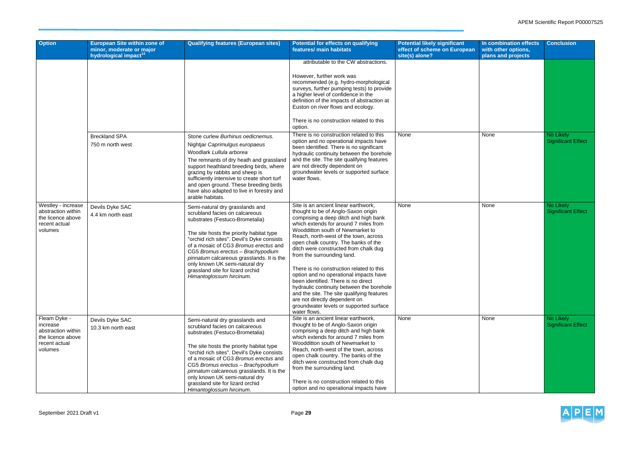## APEM Scientific Report P00007525



| <b>Option</b>                                                                                   | <b>European Site within zone of</b><br>minor, moderate or major<br>hydrological impact <sup>14</sup> | <b>Qualifying features (European sites)</b>                                                                                                                                                                                                                                                                                                                                                                                 | <b>Potential for effects on qualifying</b><br>features/ main habitats                                                                                                                                                                                                                                                                                                                                                                                                                                                                                                                                                                                                         | <b>Potential likely significant</b><br>effect of scheme on European<br>site(s) alone? | In combination effects<br>with other options,<br>plans and projects | <b>Conclusion</b>                      |
|-------------------------------------------------------------------------------------------------|------------------------------------------------------------------------------------------------------|-----------------------------------------------------------------------------------------------------------------------------------------------------------------------------------------------------------------------------------------------------------------------------------------------------------------------------------------------------------------------------------------------------------------------------|-------------------------------------------------------------------------------------------------------------------------------------------------------------------------------------------------------------------------------------------------------------------------------------------------------------------------------------------------------------------------------------------------------------------------------------------------------------------------------------------------------------------------------------------------------------------------------------------------------------------------------------------------------------------------------|---------------------------------------------------------------------------------------|---------------------------------------------------------------------|----------------------------------------|
|                                                                                                 |                                                                                                      |                                                                                                                                                                                                                                                                                                                                                                                                                             | attributable to the CW abstractions.<br>However, further work was                                                                                                                                                                                                                                                                                                                                                                                                                                                                                                                                                                                                             |                                                                                       |                                                                     |                                        |
|                                                                                                 |                                                                                                      |                                                                                                                                                                                                                                                                                                                                                                                                                             | recommended (e.g. hydro-morphological<br>surveys, further pumping tests) to provide<br>a higher level of confidence in the<br>definition of the impacts of abstraction at<br>Euston on river flows and ecology.                                                                                                                                                                                                                                                                                                                                                                                                                                                               |                                                                                       |                                                                     |                                        |
|                                                                                                 |                                                                                                      |                                                                                                                                                                                                                                                                                                                                                                                                                             | There is no construction related to this<br>option.                                                                                                                                                                                                                                                                                                                                                                                                                                                                                                                                                                                                                           |                                                                                       |                                                                     |                                        |
|                                                                                                 | <b>Breckland SPA</b><br>750 m north west                                                             | Stone curlew Burhinus oedicnemus.<br>Nightjar Caprimulgus europaeus<br>Woodlark Lullula arborea<br>The remnants of dry heath and grassland<br>support heathland breeding birds, where<br>grazing by rabbits and sheep is<br>sufficiently intensive to create short turf<br>and open ground. These breeding birds<br>have also adapted to live in forestry and<br>arable habitats.                                           | There is no construction related to this<br>option and no operational impacts have<br>been identified. There is no significant<br>hydraulic continuity between the borehole<br>and the site. The site qualifying features<br>are not directly dependent on<br>groundwater levels or supported surface<br>water flows.                                                                                                                                                                                                                                                                                                                                                         | None                                                                                  | None                                                                | No Likely<br><b>Significant Effect</b> |
| Westley - increase<br>abstraction within<br>the licence above<br>recent actual<br>volumes       | Devils Dyke SAC<br>4.4 km north east                                                                 | Semi-natural dry grasslands and<br>scrubland facies on calcareous<br>substrates (Festuco-Brometalia)<br>The site hosts the priority habitat type<br>"orchid rich sites". Devil's Dyke consists<br>of a mosaic of CG3 Bromus erectus and<br>CG5 Bromus erectus - Brachypodium<br>pinnatum calcareous grasslands. It is the<br>only known UK semi-natural dry<br>grassland site for lizard orchid<br>Himantoglossum hircinum. | Site is an ancient linear earthwork,<br>thought to be of Anglo-Saxon origin<br>comprising a deep ditch and high bank<br>which extends for around 7 miles from<br>Woodditton south of Newmarket to<br>Reach, north-west of the town, across<br>open chalk country. The banks of the<br>ditch were constructed from chalk dug<br>from the surrounding land.<br>There is no construction related to this<br>option and no operational impacts have<br>been identified. There is no direct<br>hydraulic continuity between the borehole<br>and the site. The site qualifying features<br>are not directly dependent on<br>groundwater levels or supported surface<br>water flows. | None                                                                                  | None                                                                | No Likely<br><b>Significant Effect</b> |
| Fleam Dyke -<br>increase<br>abstraction within<br>the licence above<br>recent actual<br>volumes | Devils Dyke SAC<br>10.3 km north east                                                                | Semi-natural dry grasslands and<br>scrubland facies on calcareous<br>substrates (Festuco-Brometalia)<br>The site hosts the priority habitat type<br>"orchid rich sites". Devil's Dyke consists<br>of a mosaic of CG3 Bromus erectus and<br>CG5 Bromus erectus - Brachypodium<br>pinnatum calcareous grasslands. It is the<br>only known UK semi-natural dry<br>grassland site for lizard orchid<br>Himantoglossum hircinum. | Site is an ancient linear earthwork,<br>thought to be of Anglo-Saxon origin<br>comprising a deep ditch and high bank<br>which extends for around 7 miles from<br>Woodditton south of Newmarket to<br>Reach, north-west of the town, across<br>open chalk country. The banks of the<br>ditch were constructed from chalk dug<br>from the surrounding land.<br>There is no construction related to this<br>option and no operational impacts have                                                                                                                                                                                                                               | None                                                                                  | None                                                                | No Likely<br><b>Significant Effect</b> |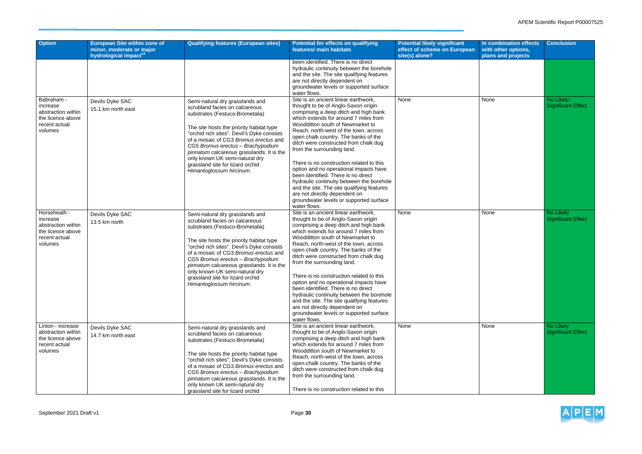

| <b>Option</b>                                                                                   | <b>European Site within zone of</b>                           | <b>Qualifying features (European sites)</b>                                                                                                                                                                                                                                                                                                                                                                                 | <b>Potential for effects on qualifying</b>                                                                                                                                                                                                                                                                                                                                                                                                                                                                                                                                                                                                                                    | <b>Potential likely significant</b>            | In combination effects                    | <b>Conclusion</b>                      |
|-------------------------------------------------------------------------------------------------|---------------------------------------------------------------|-----------------------------------------------------------------------------------------------------------------------------------------------------------------------------------------------------------------------------------------------------------------------------------------------------------------------------------------------------------------------------------------------------------------------------|-------------------------------------------------------------------------------------------------------------------------------------------------------------------------------------------------------------------------------------------------------------------------------------------------------------------------------------------------------------------------------------------------------------------------------------------------------------------------------------------------------------------------------------------------------------------------------------------------------------------------------------------------------------------------------|------------------------------------------------|-------------------------------------------|----------------------------------------|
|                                                                                                 | minor, moderate or major<br>hydrological impact <sup>14</sup> |                                                                                                                                                                                                                                                                                                                                                                                                                             | features/ main habitats                                                                                                                                                                                                                                                                                                                                                                                                                                                                                                                                                                                                                                                       | effect of scheme on European<br>site(s) alone? | with other options,<br>plans and projects |                                        |
|                                                                                                 |                                                               |                                                                                                                                                                                                                                                                                                                                                                                                                             | been identified. There is no direct<br>hydraulic continuity between the borehole<br>and the site. The site qualifying features<br>are not directly dependent on<br>groundwater levels or supported surface<br>water flows.                                                                                                                                                                                                                                                                                                                                                                                                                                                    |                                                |                                           |                                        |
| Babraham -<br>increase<br>abstraction within<br>the licence above<br>recent actual<br>volumes   | Devils Dyke SAC<br>15.1 km north east                         | Semi-natural dry grasslands and<br>scrubland facies on calcareous<br>substrates (Festuco-Brometalia)<br>The site hosts the priority habitat type<br>"orchid rich sites". Devil's Dyke consists<br>of a mosaic of CG3 Bromus erectus and<br>CG5 Bromus erectus - Brachypodium<br>pinnatum calcareous grasslands. It is the<br>only known UK semi-natural dry<br>grassland site for lizard orchid<br>Himantoglossum hircinum. | Site is an ancient linear earthwork,<br>thought to be of Anglo-Saxon origin<br>comprising a deep ditch and high bank<br>which extends for around 7 miles from<br>Woodditton south of Newmarket to<br>Reach, north-west of the town, across<br>open chalk country. The banks of the<br>ditch were constructed from chalk dug<br>from the surrounding land.<br>There is no construction related to this<br>option and no operational impacts have<br>been identified. There is no direct<br>hydraulic continuity between the borehole<br>and the site. The site qualifying features<br>are not directly dependent on<br>groundwater levels or supported surface<br>water flows. | None                                           | None                                      | No Likely<br><b>Significant Effect</b> |
| Horseheath -<br>increase<br>abstraction within<br>the licence above<br>recent actual<br>volumes | Devils Dyke SAC<br>13.5 km north                              | Semi-natural dry grasslands and<br>scrubland facies on calcareous<br>substrates (Festuco-Brometalia)<br>The site hosts the priority habitat type<br>"orchid rich sites". Devil's Dyke consists<br>of a mosaic of CG3 Bromus erectus and<br>CG5 Bromus erectus - Brachypodium<br>pinnatum calcareous grasslands. It is the<br>only known UK semi-natural dry<br>grassland site for lizard orchid<br>Himantoglossum hircinum. | Site is an ancient linear earthwork,<br>thought to be of Anglo-Saxon origin<br>comprising a deep ditch and high bank<br>which extends for around 7 miles from<br>Woodditton south of Newmarket to<br>Reach, north-west of the town, across<br>open chalk country. The banks of the<br>ditch were constructed from chalk dug<br>from the surrounding land.<br>There is no construction related to this<br>option and no operational impacts have<br>been identified. There is no direct<br>hydraulic continuity between the borehole<br>and the site. The site qualifying features<br>are not directly dependent on<br>groundwater levels or supported surface<br>water flows. | None                                           | None                                      | No Likely<br><b>Significant Effect</b> |
| Linton - increase<br>abstraction within<br>the licence above<br>recent actual<br>volumes        | Devils Dyke SAC<br>14.7 km north east                         | Semi-natural dry grasslands and<br>scrubland facies on calcareous<br>substrates (Festuco-Brometalia)<br>The site hosts the priority habitat type<br>"orchid rich sites". Devil's Dyke consists<br>of a mosaic of CG3 Bromus erectus and<br>CG5 Bromus erectus - Brachypodium<br>pinnatum calcareous grasslands. It is the<br>only known UK semi-natural dry<br>grassland site for lizard orchid                             | Site is an ancient linear earthwork,<br>thought to be of Anglo-Saxon origin<br>comprising a deep ditch and high bank<br>which extends for around 7 miles from<br>Woodditton south of Newmarket to<br>Reach, north-west of the town, across<br>open chalk country. The banks of the<br>ditch were constructed from chalk dug<br>from the surrounding land.<br>There is no construction related to this                                                                                                                                                                                                                                                                         | None                                           | None                                      | No Likely<br><b>Significant Effect</b> |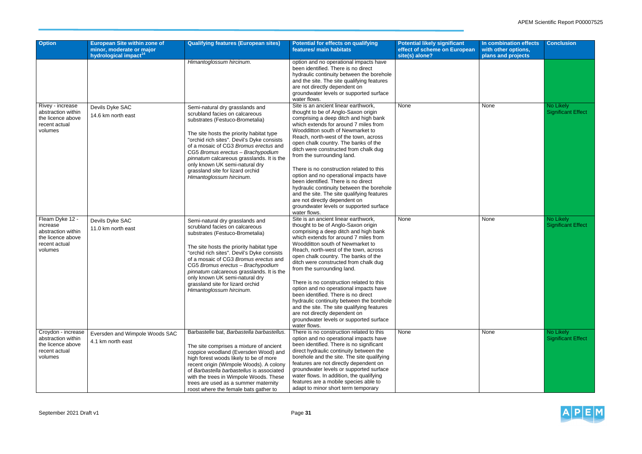## APEM Scientific Report P00007525



| <b>Option</b>                                                                                      | <b>European Site within zone of</b>                           | <b>Qualifying features (European sites)</b>                                                                                                                                                                                                                                                                                                                                                                                 | <b>Potential for effects on qualifying</b>                                                                                                                                                                                                                                                                                                                                                                                                                                                                                                                                                                                                                                    | <b>Potential likely significant</b>            | In combination effects                    | <b>Conclusion</b>                      |
|----------------------------------------------------------------------------------------------------|---------------------------------------------------------------|-----------------------------------------------------------------------------------------------------------------------------------------------------------------------------------------------------------------------------------------------------------------------------------------------------------------------------------------------------------------------------------------------------------------------------|-------------------------------------------------------------------------------------------------------------------------------------------------------------------------------------------------------------------------------------------------------------------------------------------------------------------------------------------------------------------------------------------------------------------------------------------------------------------------------------------------------------------------------------------------------------------------------------------------------------------------------------------------------------------------------|------------------------------------------------|-------------------------------------------|----------------------------------------|
|                                                                                                    | minor, moderate or major<br>hydrological impact <sup>14</sup> |                                                                                                                                                                                                                                                                                                                                                                                                                             | features/ main habitats                                                                                                                                                                                                                                                                                                                                                                                                                                                                                                                                                                                                                                                       | effect of scheme on European<br>site(s) alone? | with other options,<br>plans and projects |                                        |
|                                                                                                    |                                                               | Himantoglossum hircinum.                                                                                                                                                                                                                                                                                                                                                                                                    | option and no operational impacts have<br>been identified. There is no direct<br>hydraulic continuity between the borehole<br>and the site. The site qualifying features<br>are not directly dependent on<br>groundwater levels or supported surface<br>water flows.                                                                                                                                                                                                                                                                                                                                                                                                          |                                                |                                           |                                        |
| Rivey - increase<br>abstraction within<br>the licence above<br>recent actual<br>volumes            | Devils Dyke SAC<br>14.6 km north east                         | Semi-natural dry grasslands and<br>scrubland facies on calcareous<br>substrates (Festuco-Brometalia)<br>The site hosts the priority habitat type<br>"orchid rich sites". Devil's Dyke consists<br>of a mosaic of CG3 Bromus erectus and<br>CG5 Bromus erectus - Brachypodium<br>pinnatum calcareous grasslands. It is the<br>only known UK semi-natural dry<br>grassland site for lizard orchid<br>Himantoglossum hircinum. | Site is an ancient linear earthwork,<br>thought to be of Anglo-Saxon origin<br>comprising a deep ditch and high bank<br>which extends for around 7 miles from<br>Woodditton south of Newmarket to<br>Reach, north-west of the town, across<br>open chalk country. The banks of the<br>ditch were constructed from chalk dug<br>from the surrounding land.<br>There is no construction related to this<br>option and no operational impacts have<br>been identified. There is no direct<br>hydraulic continuity between the borehole<br>and the site. The site qualifying features<br>are not directly dependent on<br>groundwater levels or supported surface<br>water flows. | None                                           | None                                      | No Likely<br><b>Significant Effect</b> |
| Fleam Dyke 12 -<br>increase<br>abstraction within<br>the licence above<br>recent actual<br>volumes | Devils Dyke SAC<br>11.0 km north east                         | Semi-natural dry grasslands and<br>scrubland facies on calcareous<br>substrates (Festuco-Brometalia)<br>The site hosts the priority habitat type<br>"orchid rich sites". Devil's Dyke consists<br>of a mosaic of CG3 Bromus erectus and<br>CG5 Bromus erectus - Brachypodium<br>pinnatum calcareous grasslands. It is the<br>only known UK semi-natural dry<br>grassland site for lizard orchid<br>Himantoglossum hircinum. | Site is an ancient linear earthwork,<br>thought to be of Anglo-Saxon origin<br>comprising a deep ditch and high bank<br>which extends for around 7 miles from<br>Woodditton south of Newmarket to<br>Reach, north-west of the town, across<br>open chalk country. The banks of the<br>ditch were constructed from chalk dug<br>from the surrounding land.<br>There is no construction related to this<br>option and no operational impacts have<br>been identified. There is no direct<br>hydraulic continuity between the borehole<br>and the site. The site qualifying features<br>are not directly dependent on<br>groundwater levels or supported surface<br>water flows. | None                                           | None                                      | No Likely<br><b>Significant Effect</b> |
| Croydon - increase<br>abstraction within<br>the licence above<br>recent actual<br>volumes          | Eversden and Wimpole Woods SAC<br>4.1 km north east           | Barbastelle bat, Barbastella barbastellus.<br>The site comprises a mixture of ancient<br>coppice woodland (Eversden Wood) and<br>high forest woods likely to be of more<br>recent origin (Wimpole Woods). A colony<br>of Barbastella barbastellus is associated<br>with the trees in Wimpole Woods. These<br>trees are used as a summer maternity<br>roost where the female bats gather to                                  | There is no construction related to this<br>option and no operational impacts have<br>been identified. There is no significant<br>direct hydraulic continuity between the<br>borehole and the site. The site qualifying<br>features are not directly dependent on<br>groundwater levels or supported surface<br>water flows. In addition, the qualifying<br>features are a mobile species able to<br>adapt to minor short term temporary                                                                                                                                                                                                                                      | None                                           | None                                      | No Likely<br><b>Significant Effect</b> |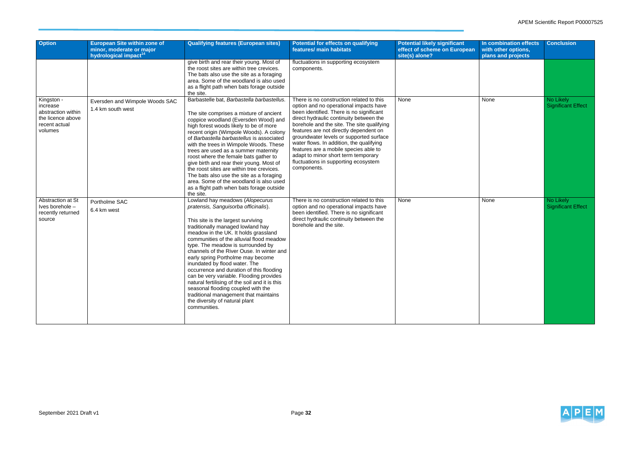

| <b>Option</b>                                                                                 | <b>European Site within zone of</b><br>minor, moderate or major<br>hydrological impact <sup>14</sup> | <b>Qualifying features (European sites)</b>                                                                                                                                                                                                                                                                                                                                                                                                                                                                                                                                                                                                                              | <b>Potential for effects on qualifying</b><br>features/ main habitats                                                                                                                                                                                                                                                                                                                                                                                                                           | <b>Potential likely significant</b><br>effect of scheme on European<br>site(s) alone? | In combination effects<br>with other options,<br>plans and projects | <b>Conclusion</b>                             |
|-----------------------------------------------------------------------------------------------|------------------------------------------------------------------------------------------------------|--------------------------------------------------------------------------------------------------------------------------------------------------------------------------------------------------------------------------------------------------------------------------------------------------------------------------------------------------------------------------------------------------------------------------------------------------------------------------------------------------------------------------------------------------------------------------------------------------------------------------------------------------------------------------|-------------------------------------------------------------------------------------------------------------------------------------------------------------------------------------------------------------------------------------------------------------------------------------------------------------------------------------------------------------------------------------------------------------------------------------------------------------------------------------------------|---------------------------------------------------------------------------------------|---------------------------------------------------------------------|-----------------------------------------------|
|                                                                                               |                                                                                                      | give birth and rear their young. Most of<br>the roost sites are within tree crevices.<br>The bats also use the site as a foraging<br>area. Some of the woodland is also used<br>as a flight path when bats forage outside<br>the site.                                                                                                                                                                                                                                                                                                                                                                                                                                   | fluctuations in supporting ecosystem<br>components.                                                                                                                                                                                                                                                                                                                                                                                                                                             |                                                                                       |                                                                     |                                               |
| Kingston -<br>increase<br>abstraction within<br>the licence above<br>recent actual<br>volumes | Eversden and Wimpole Woods SAC<br>1.4 km south west                                                  | Barbastelle bat, Barbastella barbastellus.<br>The site comprises a mixture of ancient<br>coppice woodland (Eversden Wood) and<br>high forest woods likely to be of more<br>recent origin (Wimpole Woods). A colony<br>of Barbastella barbastellus is associated<br>with the trees in Wimpole Woods. These<br>trees are used as a summer maternity<br>roost where the female bats gather to<br>give birth and rear their young. Most of<br>the roost sites are within tree crevices.<br>The bats also use the site as a foraging<br>area. Some of the woodland is also used<br>as a flight path when bats forage outside<br>the site.                                     | There is no construction related to this<br>option and no operational impacts have<br>been identified. There is no significant<br>direct hydraulic continuity between the<br>borehole and the site. The site qualifying<br>features are not directly dependent on<br>groundwater levels or supported surface<br>water flows. In addition, the qualifying<br>features are a mobile species able to<br>adapt to minor short term temporary<br>fluctuations in supporting ecosystem<br>components. | None                                                                                  | None                                                                | <b>No Likely</b><br><b>Significant Effect</b> |
| Abstraction at St<br>Ives borehole -<br>recently returned<br>source                           | Portholme SAC<br>6.4 km west                                                                         | Lowland hay meadows (Alopecurus<br>pratensis, Sanguisorba officinalis).<br>This site is the largest surviving<br>traditionally managed lowland hay<br>meadow in the UK. It holds grassland<br>communities of the alluvial flood meadow<br>type. The meadow is surrounded by<br>channels of the River Ouse. In winter and<br>early spring Portholme may become<br>inundated by flood water. The<br>occurrence and duration of this flooding<br>can be very variable. Flooding provides<br>natural fertilising of the soil and it is this<br>seasonal flooding coupled with the<br>traditional management that maintains<br>the diversity of natural plant<br>communities. | There is no construction related to this<br>option and no operational impacts have<br>been identified. There is no significant<br>direct hydraulic continuity between the<br>borehole and the site.                                                                                                                                                                                                                                                                                             | None                                                                                  | None                                                                | No Likely<br><b>Significant Effect</b>        |